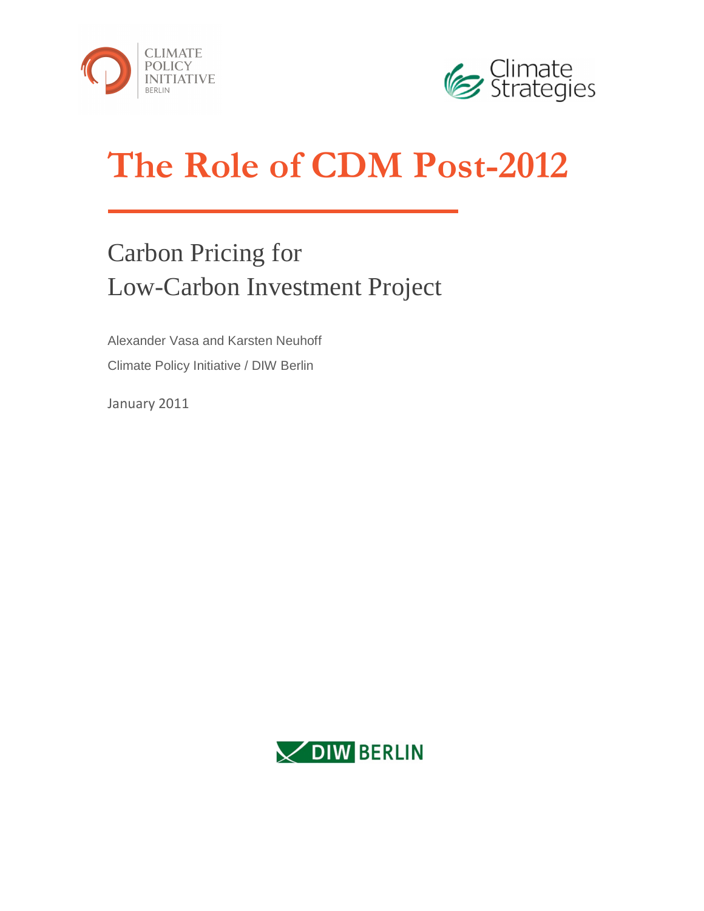



# **The Role of CDM Post-2012**

## Carbon Pricing for Low-Carbon Investment Project

Alexander Vasa and Karsten Neuhoff Climate Policy Initiative / DIW Berlin

January 2011

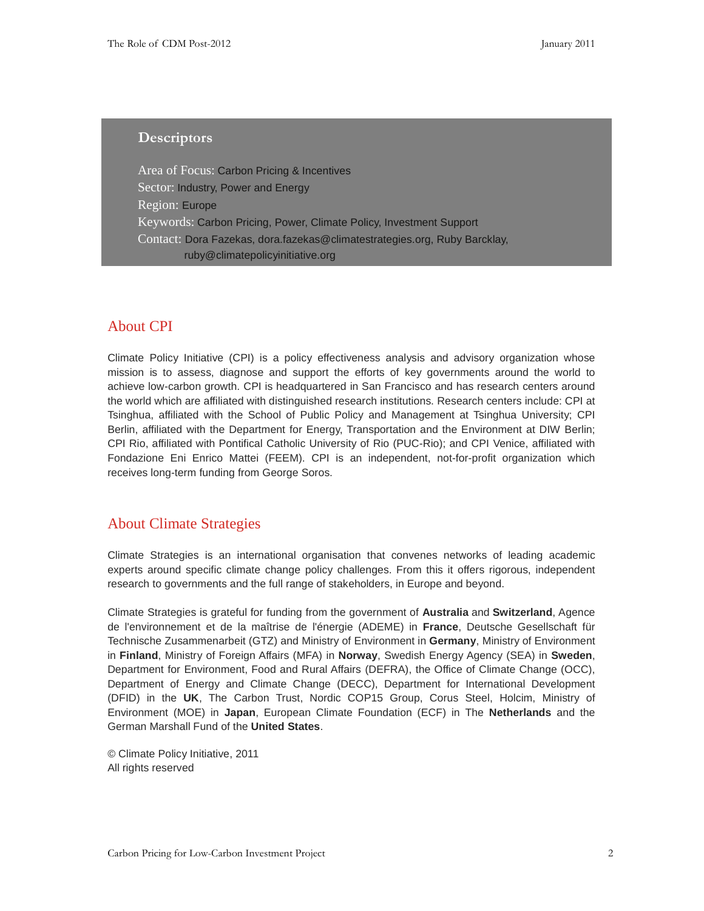#### **Descriptors**

Area of Focus: Carbon Pricing & Incentives Sector: Industry, Power and Energy Region: Europe Keywords: Carbon Pricing, Power, Climate Policy, Investment Support Contact: Dora Fazekas, dora.fazekas@climatestrategies.org, Ruby Barcklay, ruby@climatepolicyinitiative.org

#### About CPI

Climate Policy Initiative (CPI) is a policy effectiveness analysis and advisory organization whose mission is to assess, diagnose and support the efforts of key governments around the world to achieve low-carbon growth. CPI is headquartered in San Francisco and has research centers around the world which are affiliated with distinguished research institutions. Research centers include: CPI at Tsinghua, affiliated with the School of Public Policy and Management at Tsinghua University; CPI Berlin, affiliated with the Department for Energy, Transportation and the Environment at DIW Berlin; CPI Rio, affiliated with Pontifical Catholic University of Rio (PUC-Rio); and CPI Venice, affiliated with Fondazione Eni Enrico Mattei (FEEM). CPI is an independent, not-for-profit organization which receives long-term funding from George Soros.

#### About Climate Strategies

Climate Strategies is an international organisation that convenes networks of leading academic experts around specific climate change policy challenges. From this it offers rigorous, independent research to governments and the full range of stakeholders, in Europe and beyond.

Climate Strategies is grateful for funding from the government of **Australia** and **Switzerland**, Agence de l'environnement et de la maîtrise de l'énergie (ADEME) in **France**, Deutsche Gesellschaft für Technische Zusammenarbeit (GTZ) and Ministry of Environment in **Germany**, Ministry of Environment in **Finland**, Ministry of Foreign Affairs (MFA) in **Norway**, Swedish Energy Agency (SEA) in **Sweden**, Department for Environment, Food and Rural Affairs (DEFRA), the Office of Climate Change (OCC), Department of Energy and Climate Change (DECC), Department for International Development (DFID) in the **UK**, The Carbon Trust, Nordic COP15 Group, Corus Steel, Holcim, Ministry of Environment (MOE) in **Japan**, European Climate Foundation (ECF) in The **Netherlands** and the German Marshall Fund of the **United States**.

© Climate Policy Initiative, 2011 All rights reserved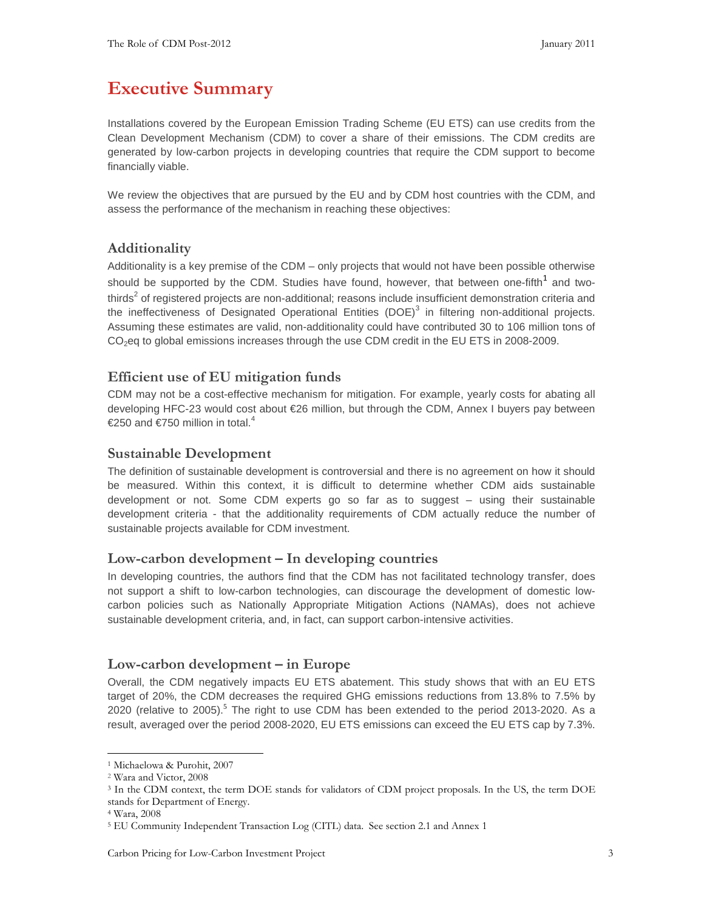## **Executive Summary**

Installations covered by the European Emission Trading Scheme (EU ETS) can use credits from the Clean Development Mechanism (CDM) to cover a share of their emissions. The CDM credits are generated by low-carbon projects in developing countries that require the CDM support to become financially viable.

We review the objectives that are pursued by the EU and by CDM host countries with the CDM, and assess the performance of the mechanism in reaching these objectives:

#### **Additionality**

Additionality is a key premise of the CDM – only projects that would not have been possible otherwise should be supported by the CDM. Studies have found, however, that between one-fifth<sup>1</sup> and twothirds<sup>2</sup> of registered projects are non-additional; reasons include insufficient demonstration criteria and the ineffectiveness of Designated Operational Entities (DOE) $^3$  in filtering non-additional projects. Assuming these estimates are valid, non-additionality could have contributed 30 to 106 million tons of CO2eq to global emissions increases through the use CDM credit in the EU ETS in 2008-2009.

#### **Efficient use of EU mitigation funds**

CDM may not be a cost-effective mechanism for mitigation. For example, yearly costs for abating all developing HFC-23 would cost about €26 million, but through the CDM, Annex I buyers pay between €250 and €750 million in total.<sup>4</sup>

#### **Sustainable Development**

The definition of sustainable development is controversial and there is no agreement on how it should be measured. Within this context, it is difficult to determine whether CDM aids sustainable development or not. Some CDM experts go so far as to suggest – using their sustainable development criteria - that the additionality requirements of CDM actually reduce the number of sustainable projects available for CDM investment.

#### **Low-carbon development – In developing countries**

In developing countries, the authors find that the CDM has not facilitated technology transfer, does not support a shift to low-carbon technologies, can discourage the development of domestic lowcarbon policies such as Nationally Appropriate Mitigation Actions (NAMAs), does not achieve sustainable development criteria, and, in fact, can support carbon-intensive activities.

#### **Low-carbon development – in Europe**

Overall, the CDM negatively impacts EU ETS abatement. This study shows that with an EU ETS target of 20%, the CDM decreases the required GHG emissions reductions from 13.8% to 7.5% by 2020 (relative to 2005).<sup>5</sup> The right to use CDM has been extended to the period 2013-2020. As a result, averaged over the period 2008-2020, EU ETS emissions can exceed the EU ETS cap by 7.3%.

<sup>1</sup> Michaelowa & Purohit, 2007

<sup>2</sup> Wara and Victor, 2008

<sup>3</sup> In the CDM context, the term DOE stands for validators of CDM project proposals. In the US, the term DOE stands for Department of Energy.

<sup>4</sup> Wara, 2008

<sup>5</sup> EU Community Independent Transaction Log (CITL) data. See section 2.1 and Annex 1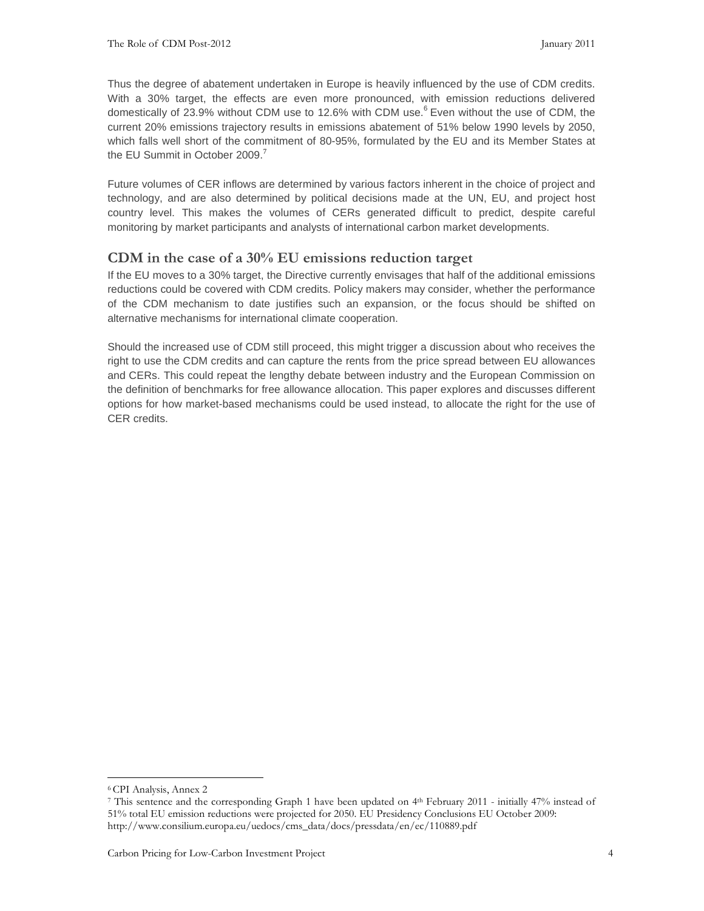Thus the degree of abatement undertaken in Europe is heavily influenced by the use of CDM credits. With a 30% target, the effects are even more pronounced, with emission reductions delivered domestically of 23.9% without CDM use to 12.6% with CDM use. $6$  Even without the use of CDM, the current 20% emissions trajectory results in emissions abatement of 51% below 1990 levels by 2050, which falls well short of the commitment of 80-95%, formulated by the EU and its Member States at the EU Summit in October 2009.<sup>7</sup>

Future volumes of CER inflows are determined by various factors inherent in the choice of project and technology, and are also determined by political decisions made at the UN, EU, and project host country level. This makes the volumes of CERs generated difficult to predict, despite careful monitoring by market participants and analysts of international carbon market developments.

#### **CDM in the case of a 30% EU emissions reduction target**

If the EU moves to a 30% target, the Directive currently envisages that half of the additional emissions reductions could be covered with CDM credits. Policy makers may consider, whether the performance of the CDM mechanism to date justifies such an expansion, or the focus should be shifted on alternative mechanisms for international climate cooperation.

Should the increased use of CDM still proceed, this might trigger a discussion about who receives the right to use the CDM credits and can capture the rents from the price spread between EU allowances and CERs. This could repeat the lengthy debate between industry and the European Commission on the definition of benchmarks for free allowance allocation. This paper explores and discusses different options for how market-based mechanisms could be used instead, to allocate the right for the use of CER credits.

<sup>6</sup>CPI Analysis, Annex 2

<sup>&</sup>lt;sup>7</sup> This sentence and the corresponding Graph 1 have been updated on 4<sup>th</sup> February 2011 - initially 47% instead of 51% total EU emission reductions were projected for 2050. EU Presidency Conclusions EU October 2009: http://www.consilium.europa.eu/uedocs/cms\_data/docs/pressdata/en/ec/110889.pdf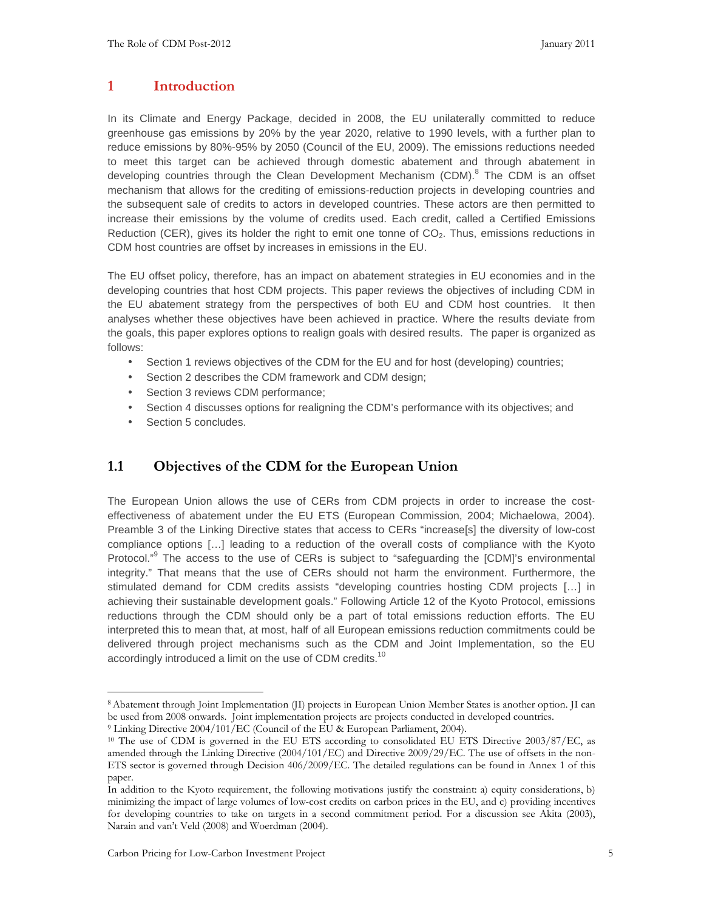#### **1 Introduction**

In its Climate and Energy Package, decided in 2008, the EU unilaterally committed to reduce greenhouse gas emissions by 20% by the year 2020, relative to 1990 levels, with a further plan to reduce emissions by 80%-95% by 2050 (Council of the EU, 2009). The emissions reductions needed to meet this target can be achieved through domestic abatement and through abatement in developing countries through the Clean Development Mechanism (CDM).<sup>8</sup> The CDM is an offset mechanism that allows for the crediting of emissions-reduction projects in developing countries and the subsequent sale of credits to actors in developed countries. These actors are then permitted to increase their emissions by the volume of credits used. Each credit, called a Certified Emissions Reduction (CER), gives its holder the right to emit one tonne of  $CO<sub>2</sub>$ . Thus, emissions reductions in CDM host countries are offset by increases in emissions in the EU.

The EU offset policy, therefore, has an impact on abatement strategies in EU economies and in the developing countries that host CDM projects. This paper reviews the objectives of including CDM in the EU abatement strategy from the perspectives of both EU and CDM host countries. It then analyses whether these objectives have been achieved in practice. Where the results deviate from the goals, this paper explores options to realign goals with desired results. The paper is organized as follows:

- Section 1 reviews objectives of the CDM for the EU and for host (developing) countries;
- Section 2 describes the CDM framework and CDM design;
- Section 3 reviews CDM performance;
- Section 4 discusses options for realigning the CDM's performance with its objectives; and
- Section 5 concludes.

-

#### **1.1 Objectives of the CDM for the European Union**

The European Union allows the use of CERs from CDM projects in order to increase the costeffectiveness of abatement under the EU ETS (European Commission, 2004; Michaelowa, 2004). Preamble 3 of the Linking Directive states that access to CERs "increase[s] the diversity of low-cost compliance options […] leading to a reduction of the overall costs of compliance with the Kyoto Protocol."<sup>9</sup> The access to the use of CERs is subject to "safeguarding the [CDM]'s environmental integrity." That means that the use of CERs should not harm the environment. Furthermore, the stimulated demand for CDM credits assists "developing countries hosting CDM projects […] in achieving their sustainable development goals." Following Article 12 of the Kyoto Protocol, emissions reductions through the CDM should only be a part of total emissions reduction efforts. The EU interpreted this to mean that, at most, half of all European emissions reduction commitments could be delivered through project mechanisms such as the CDM and Joint Implementation, so the EU accordingly introduced a limit on the use of CDM credits.<sup>10</sup>

<sup>8</sup>Abatement through Joint Implementation (JI) projects in European Union Member States is another option. JI can be used from 2008 onwards. Joint implementation projects are projects conducted in developed countries.

<sup>9</sup> Linking Directive 2004/101/EC (Council of the EU & European Parliament, 2004).

<sup>&</sup>lt;sup>10</sup> The use of CDM is governed in the EU ETS according to consolidated EU ETS Directive 2003/87/EC, as amended through the Linking Directive (2004/101/EC) and Directive 2009/29/EC. The use of offsets in the non-ETS sector is governed through Decision 406/2009/EC. The detailed regulations can be found in Annex 1 of this paper.

In addition to the Kyoto requirement, the following motivations justify the constraint: a) equity considerations, b) minimizing the impact of large volumes of low-cost credits on carbon prices in the EU, and c) providing incentives for developing countries to take on targets in a second commitment period. For a discussion see Akita (2003), Narain and van't Veld (2008) and Woerdman (2004).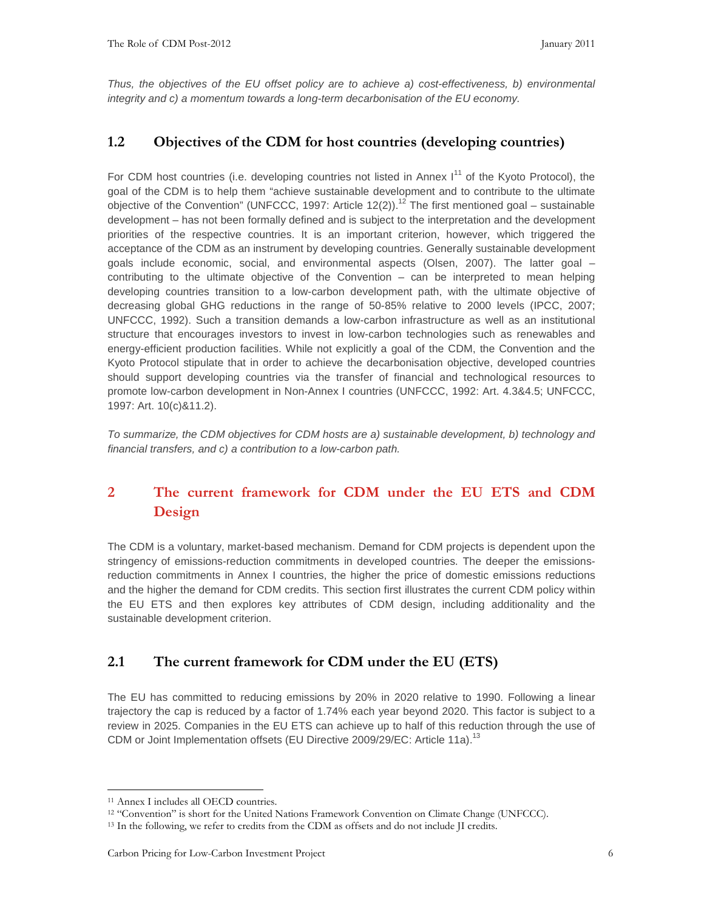Thus, the objectives of the EU offset policy are to achieve a) cost-effectiveness, b) environmental integrity and c) a momentum towards a long-term decarbonisation of the EU economy.

#### **1.2 Objectives of the CDM for host countries (developing countries)**

For CDM host countries (i.e. developing countries not listed in Annex I<sup>11</sup> of the Kyoto Protocol), the goal of the CDM is to help them "achieve sustainable development and to contribute to the ultimate objective of the Convention" (UNFCCC, 1997: Article 12(2)).<sup>12</sup> The first mentioned goal – sustainable development – has not been formally defined and is subject to the interpretation and the development priorities of the respective countries. It is an important criterion, however, which triggered the acceptance of the CDM as an instrument by developing countries. Generally sustainable development goals include economic, social, and environmental aspects (Olsen, 2007). The latter goal – contributing to the ultimate objective of the Convention – can be interpreted to mean helping developing countries transition to a low-carbon development path, with the ultimate objective of decreasing global GHG reductions in the range of 50-85% relative to 2000 levels (IPCC, 2007; UNFCCC, 1992). Such a transition demands a low-carbon infrastructure as well as an institutional structure that encourages investors to invest in low-carbon technologies such as renewables and energy-efficient production facilities. While not explicitly a goal of the CDM, the Convention and the Kyoto Protocol stipulate that in order to achieve the decarbonisation objective, developed countries should support developing countries via the transfer of financial and technological resources to promote low-carbon development in Non-Annex I countries (UNFCCC, 1992: Art. 4.3&4.5; UNFCCC, 1997: Art. 10(c)&11.2).

To summarize, the CDM objectives for CDM hosts are a) sustainable development, b) technology and financial transfers, and c) a contribution to a low-carbon path.

## **2 The current framework for CDM under the EU ETS and CDM Design**

The CDM is a voluntary, market-based mechanism. Demand for CDM projects is dependent upon the stringency of emissions-reduction commitments in developed countries. The deeper the emissionsreduction commitments in Annex I countries, the higher the price of domestic emissions reductions and the higher the demand for CDM credits. This section first illustrates the current CDM policy within the EU ETS and then explores key attributes of CDM design, including additionality and the sustainable development criterion.

#### **2.1 The current framework for CDM under the EU (ETS)**

The EU has committed to reducing emissions by 20% in 2020 relative to 1990. Following a linear trajectory the cap is reduced by a factor of 1.74% each year beyond 2020. This factor is subject to a review in 2025. Companies in the EU ETS can achieve up to half of this reduction through the use of CDM or Joint Implementation offsets (EU Directive 2009/29/EC: Article 11a).<sup>13</sup>

<sup>11</sup> Annex I includes all OECD countries.

<sup>12</sup> "Convention" is short for the United Nations Framework Convention on Climate Change (UNFCCC).

<sup>&</sup>lt;sup>13</sup> In the following, we refer to credits from the CDM as offsets and do not include II credits.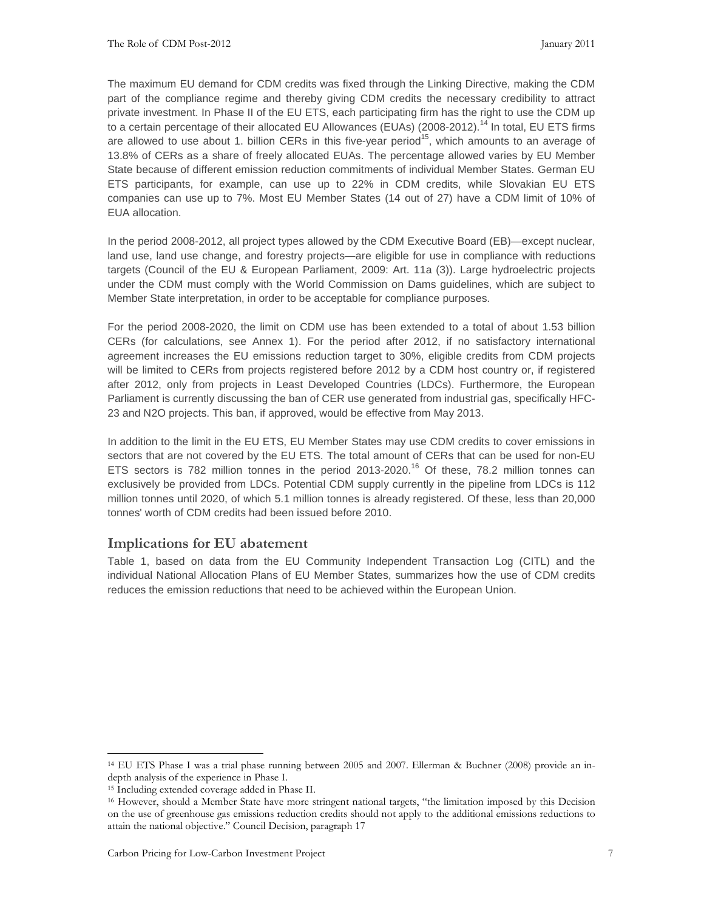The maximum EU demand for CDM credits was fixed through the Linking Directive, making the CDM part of the compliance regime and thereby giving CDM credits the necessary credibility to attract private investment. In Phase II of the EU ETS, each participating firm has the right to use the CDM up to a certain percentage of their allocated EU Allowances (EUAs) (2008-2012).<sup>14</sup> In total, EU ETS firms are allowed to use about 1. billion CERs in this five-year period<sup>15</sup>, which amounts to an average of 13.8% of CERs as a share of freely allocated EUAs. The percentage allowed varies by EU Member State because of different emission reduction commitments of individual Member States. German EU ETS participants, for example, can use up to 22% in CDM credits, while Slovakian EU ETS companies can use up to 7%. Most EU Member States (14 out of 27) have a CDM limit of 10% of EUA allocation.

In the period 2008-2012, all project types allowed by the CDM Executive Board (EB)—except nuclear, land use, land use change, and forestry projects—are eligible for use in compliance with reductions targets (Council of the EU & European Parliament, 2009: Art. 11a (3)). Large hydroelectric projects under the CDM must comply with the World Commission on Dams guidelines, which are subject to Member State interpretation, in order to be acceptable for compliance purposes.

For the period 2008-2020, the limit on CDM use has been extended to a total of about 1.53 billion CERs (for calculations, see Annex 1). For the period after 2012, if no satisfactory international agreement increases the EU emissions reduction target to 30%, eligible credits from CDM projects will be limited to CERs from projects registered before 2012 by a CDM host country or, if registered after 2012, only from projects in Least Developed Countries (LDCs). Furthermore, the European Parliament is currently discussing the ban of CER use generated from industrial gas, specifically HFC-23 and N2O projects. This ban, if approved, would be effective from May 2013.

In addition to the limit in the EU ETS, EU Member States may use CDM credits to cover emissions in sectors that are not covered by the EU ETS. The total amount of CERs that can be used for non-EU ETS sectors is 782 million tonnes in the period  $2013{\text -}2020$ .<sup>16</sup> Of these, 78.2 million tonnes can exclusively be provided from LDCs. Potential CDM supply currently in the pipeline from LDCs is 112 million tonnes until 2020, of which 5.1 million tonnes is already registered. Of these, less than 20,000 tonnes' worth of CDM credits had been issued before 2010.

#### **Implications for EU abatement**

Table 1, based on data from the EU Community Independent Transaction Log (CITL) and the individual National Allocation Plans of EU Member States, summarizes how the use of CDM credits reduces the emission reductions that need to be achieved within the European Union.

<sup>14</sup> EU ETS Phase I was a trial phase running between 2005 and 2007. Ellerman & Buchner (2008) provide an indepth analysis of the experience in Phase I.

<sup>15</sup> Including extended coverage added in Phase II.

<sup>16</sup> However, should a Member State have more stringent national targets, "the limitation imposed by this Decision on the use of greenhouse gas emissions reduction credits should not apply to the additional emissions reductions to attain the national objective." Council Decision, paragraph 17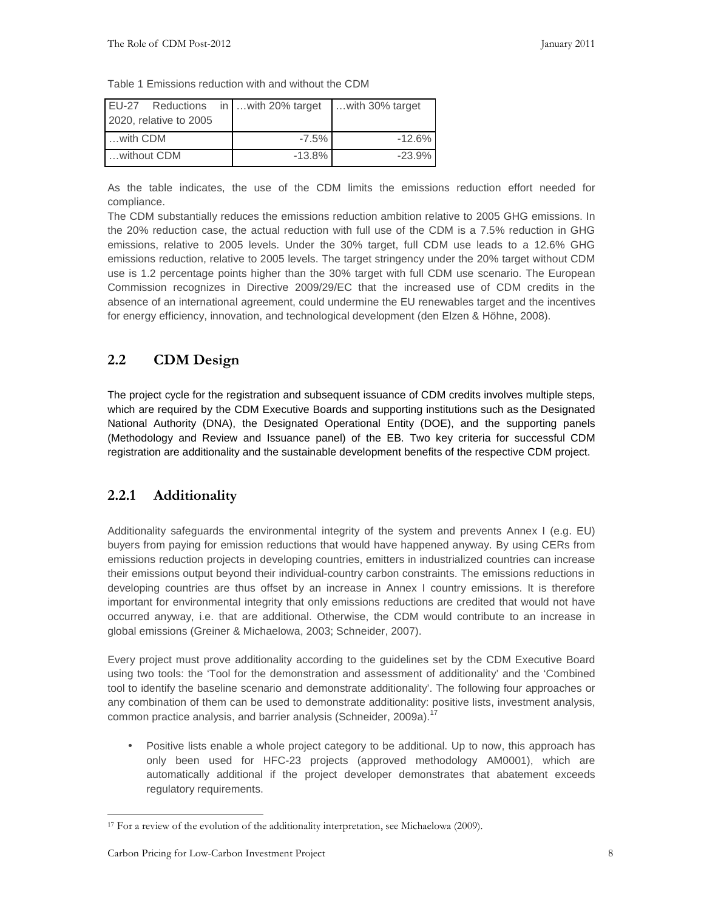| Table 1 Emissions reduction with and without the CDM |  |  |  |  |  |  |  |  |
|------------------------------------------------------|--|--|--|--|--|--|--|--|
|------------------------------------------------------|--|--|--|--|--|--|--|--|

|               |                        |  | EU-27 Reductions in  with 20% target | with 30% target |
|---------------|------------------------|--|--------------------------------------|-----------------|
|               | 2020, relative to 2005 |  |                                      |                 |
| $$ with $CDM$ |                        |  | $-7.5\%$                             | $-12.6%$        |
| without CDM   |                        |  | $-13.8%$                             | $-23.9%$        |

As the table indicates, the use of the CDM limits the emissions reduction effort needed for compliance.

The CDM substantially reduces the emissions reduction ambition relative to 2005 GHG emissions. In the 20% reduction case, the actual reduction with full use of the CDM is a 7.5% reduction in GHG emissions, relative to 2005 levels. Under the 30% target, full CDM use leads to a 12.6% GHG emissions reduction, relative to 2005 levels. The target stringency under the 20% target without CDM use is 1.2 percentage points higher than the 30% target with full CDM use scenario. The European Commission recognizes in Directive 2009/29/EC that the increased use of CDM credits in the absence of an international agreement, could undermine the EU renewables target and the incentives for energy efficiency, innovation, and technological development (den Elzen & Höhne, 2008).

#### **2.2 CDM Design**

The project cycle for the registration and subsequent issuance of CDM credits involves multiple steps, which are required by the CDM Executive Boards and supporting institutions such as the Designated National Authority (DNA), the Designated Operational Entity (DOE), and the supporting panels (Methodology and Review and Issuance panel) of the EB. Two key criteria for successful CDM registration are additionality and the sustainable development benefits of the respective CDM project.

#### **2.2.1 Additionality**

Additionality safeguards the environmental integrity of the system and prevents Annex I (e.g. EU) buyers from paying for emission reductions that would have happened anyway. By using CERs from emissions reduction projects in developing countries, emitters in industrialized countries can increase their emissions output beyond their individual-country carbon constraints. The emissions reductions in developing countries are thus offset by an increase in Annex I country emissions. It is therefore important for environmental integrity that only emissions reductions are credited that would not have occurred anyway, i.e. that are additional. Otherwise, the CDM would contribute to an increase in global emissions (Greiner & Michaelowa, 2003; Schneider, 2007).

Every project must prove additionality according to the guidelines set by the CDM Executive Board using two tools: the 'Tool for the demonstration and assessment of additionality' and the 'Combined tool to identify the baseline scenario and demonstrate additionality'. The following four approaches or any combination of them can be used to demonstrate additionality: positive lists, investment analysis, common practice analysis, and barrier analysis (Schneider, 2009a).<sup>17</sup>

• Positive lists enable a whole project category to be additional. Up to now, this approach has only been used for HFC-23 projects (approved methodology AM0001), which are automatically additional if the project developer demonstrates that abatement exceeds regulatory requirements.

<sup>-</sup>17 For a review of the evolution of the additionality interpretation, see Michaelowa (2009).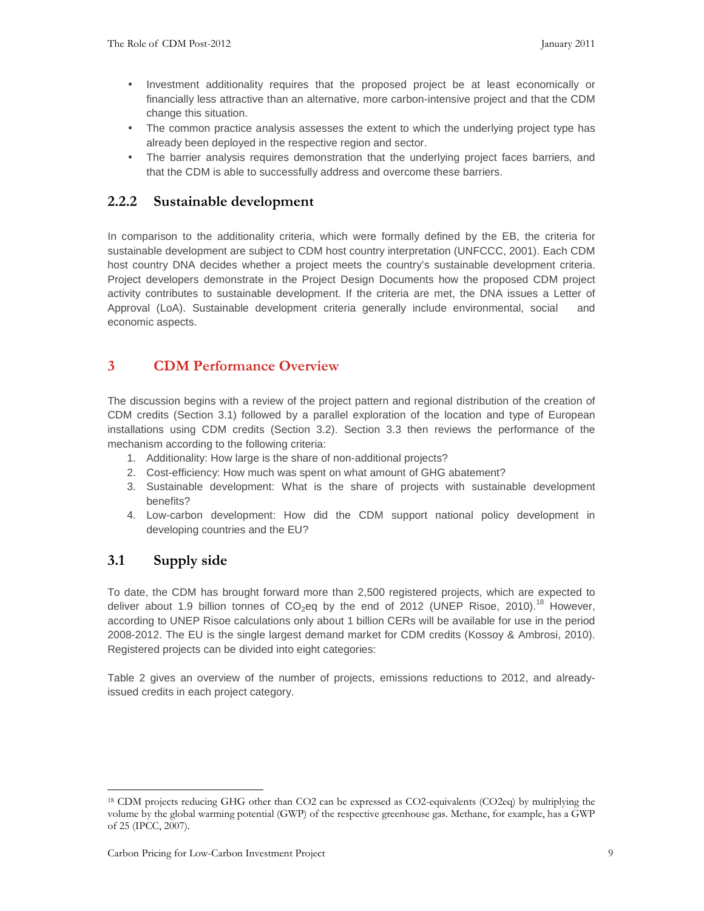- Investment additionality requires that the proposed project be at least economically or financially less attractive than an alternative, more carbon-intensive project and that the CDM change this situation.
- The common practice analysis assesses the extent to which the underlying project type has already been deployed in the respective region and sector.
- The barrier analysis requires demonstration that the underlying project faces barriers, and that the CDM is able to successfully address and overcome these barriers.

#### **2.2.2 Sustainable development**

In comparison to the additionality criteria, which were formally defined by the EB, the criteria for sustainable development are subject to CDM host country interpretation (UNFCCC, 2001). Each CDM host country DNA decides whether a project meets the country's sustainable development criteria. Project developers demonstrate in the Project Design Documents how the proposed CDM project activity contributes to sustainable development. If the criteria are met, the DNA issues a Letter of Approval (LoA). Sustainable development criteria generally include environmental, social and economic aspects.

## **3 CDM Performance Overview**

The discussion begins with a review of the project pattern and regional distribution of the creation of CDM credits (Section 3.1) followed by a parallel exploration of the location and type of European installations using CDM credits (Section 3.2). Section 3.3 then reviews the performance of the mechanism according to the following criteria:

- 1. Additionality: How large is the share of non-additional projects?
- 2. Cost-efficiency: How much was spent on what amount of GHG abatement?
- 3. Sustainable development: What is the share of projects with sustainable development benefits?
- 4. Low-carbon development: How did the CDM support national policy development in developing countries and the EU?

#### **3.1 Supply side**

-

To date, the CDM has brought forward more than 2,500 registered projects, which are expected to deliver about 1.9 billion tonnes of  $CO_2$ eq by the end of 2012 (UNEP Risoe, 2010).<sup>18</sup> However, according to UNEP Risoe calculations only about 1 billion CERs will be available for use in the period 2008-2012. The EU is the single largest demand market for CDM credits (Kossoy & Ambrosi, 2010). Registered projects can be divided into eight categories:

Table 2 gives an overview of the number of projects, emissions reductions to 2012, and alreadyissued credits in each project category.

<sup>18</sup> CDM projects reducing GHG other than CO2 can be expressed as CO2-equivalents (CO2eq) by multiplying the volume by the global warming potential (GWP) of the respective greenhouse gas. Methane, for example, has a GWP of 25 (IPCC, 2007).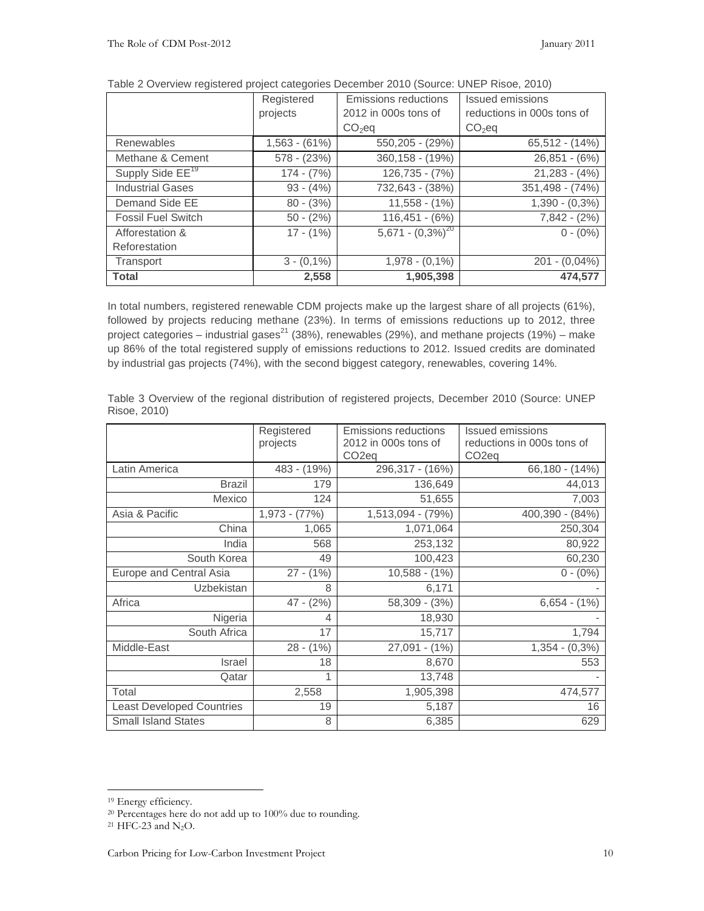|                              | Registered      | <b>Emissions reductions</b> | Issued emissions           |  |  |
|------------------------------|-----------------|-----------------------------|----------------------------|--|--|
|                              | projects        | 2012 in 000s tons of        | reductions in 000s tons of |  |  |
|                              |                 | $CO2$ eq                    | $CO2$ eq                   |  |  |
| Renewables                   | $1,563 - (61%)$ | $550,205 - (29%)$           | $65,512 - (14%)$           |  |  |
| Methane & Cement             | $578 - (23%)$   | $360, 158 - (19%)$          | $26,851 - (6%)$            |  |  |
| Supply Side EE <sup>19</sup> | $174 - (7%)$    | $126,735 - (7%)$            | $21,283 - (4%)$            |  |  |
| <b>Industrial Gases</b>      | $93 - (4%)$     | 732,643 - (38%)             | 351,498 - (74%)            |  |  |
| Demand Side EE               | $80 - (3%)$     | $11,558 - (1%)$             | $1,390 - (0,3\%)$          |  |  |
| <b>Fossil Fuel Switch</b>    | $50 - (2%)$     | $116,451 - (6%)$            | $7,842 - (2%)$             |  |  |
| Afforestation &              | $17 - (1%)$     | $5,671 - (0,3\%)^{20}$      | $0 - (0\%)$                |  |  |
| Reforestation                |                 |                             |                            |  |  |
| Transport                    | $3 - (0,1\%)$   | $1,978 - (0,1%)$            | $201 - (0,04\%)$           |  |  |
| <b>Total</b>                 | 2,558           | 1,905,398                   | 474,577                    |  |  |

|  |  |  | Table 2 Overview registered project categories December 2010 (Source: UNEP Risoe, 2010) |  |  |
|--|--|--|-----------------------------------------------------------------------------------------|--|--|
|--|--|--|-----------------------------------------------------------------------------------------|--|--|

In total numbers, registered renewable CDM projects make up the largest share of all projects (61%), followed by projects reducing methane (23%). In terms of emissions reductions up to 2012, three project categories – industrial gases<sup>21</sup> (38%), renewables (29%), and methane projects (19%) – make up 86% of the total registered supply of emissions reductions to 2012. Issued credits are dominated by industrial gas projects (74%), with the second biggest category, renewables, covering 14%.

|                                  | Registered      | <b>Emissions reductions</b> | <b>Issued emissions</b>    |  |  |
|----------------------------------|-----------------|-----------------------------|----------------------------|--|--|
|                                  | projects        | 2012 in 000s tons of        | reductions in 000s tons of |  |  |
|                                  |                 | CO <sub>2</sub> eq          | CO <sub>2</sub> eq         |  |  |
| Latin America                    | 483 - (19%)     | 296,317 - (16%)             | $66,180 - (14%)$           |  |  |
| <b>Brazil</b>                    | 179             | 136,649                     | 44,013                     |  |  |
| Mexico                           | 124             | 51,655                      | 7,003                      |  |  |
| Asia & Pacific                   | $1,973 - (77%)$ | 1,513,094 - (79%)           | 400,390 - (84%)            |  |  |
| China                            | 1,065           | 1,071,064                   | 250,304                    |  |  |
| India                            | 568             | 253,132                     | 80,922                     |  |  |
| South Korea                      | 49              | 100,423                     | 60,230                     |  |  |
| Europe and Central Asia          | $27 - (1%)$     | $10,588 - (1%)$             | $0 - (0\%)$                |  |  |
| Uzbekistan                       | 8               | 6,171                       |                            |  |  |
| Africa                           | $47 - (2%)$     | $58,309 - (3%)$             | $6,654 - (1%)$             |  |  |
| Nigeria                          | 4               | 18,930                      |                            |  |  |
| South Africa                     | 17              | 15,717                      | 1,794                      |  |  |
| Middle-East                      | $28 - (1%)$     | $27,091 - (1%)$             | $1,354 - (0,3\%)$          |  |  |
| <b>Israel</b>                    | 18              | 8,670                       | 553                        |  |  |
| Qatar                            |                 | 13,748                      |                            |  |  |
| Total                            | 2,558           | 1,905,398                   | 474,577                    |  |  |
| <b>Least Developed Countries</b> | 19              | 5,187                       | 16                         |  |  |
| <b>Small Island States</b>       | 8               | 6,385                       | 629                        |  |  |

Table 3 Overview of the regional distribution of registered projects, December 2010 (Source: UNEP Risoe, 2010)

-

 $21$  HFC-23 and N<sub>2</sub>O.

<sup>19</sup> Energy efficiency.

<sup>20</sup> Percentages here do not add up to 100% due to rounding.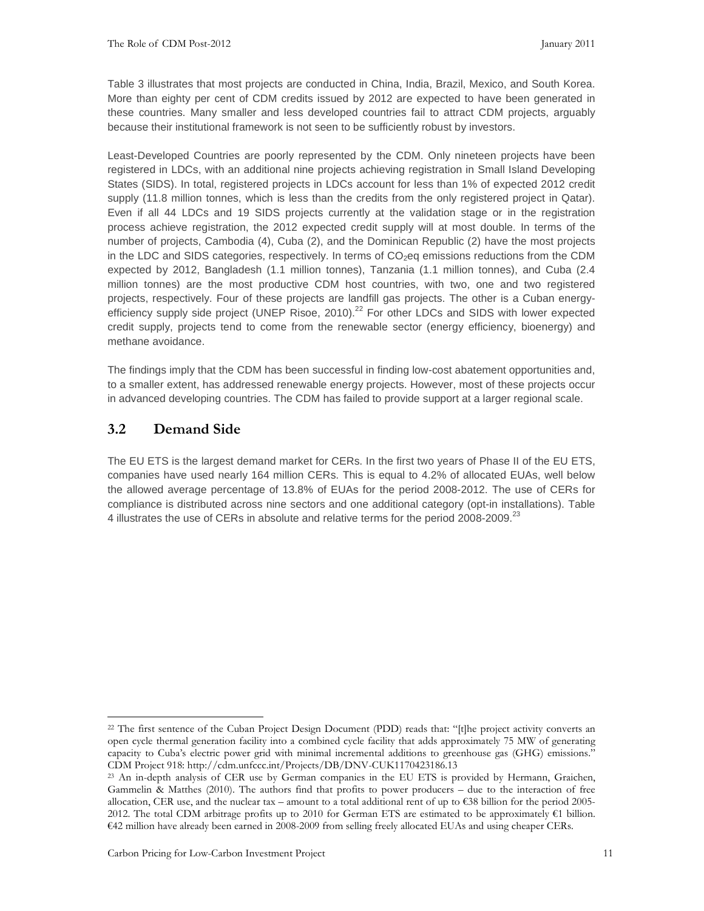Table 3 illustrates that most projects are conducted in China, India, Brazil, Mexico, and South Korea. More than eighty per cent of CDM credits issued by 2012 are expected to have been generated in these countries. Many smaller and less developed countries fail to attract CDM projects, arguably because their institutional framework is not seen to be sufficiently robust by investors.

Least-Developed Countries are poorly represented by the CDM. Only nineteen projects have been registered in LDCs, with an additional nine projects achieving registration in Small Island Developing States (SIDS). In total, registered projects in LDCs account for less than 1% of expected 2012 credit supply (11.8 million tonnes, which is less than the credits from the only registered project in Qatar). Even if all 44 LDCs and 19 SIDS projects currently at the validation stage or in the registration process achieve registration, the 2012 expected credit supply will at most double. In terms of the number of projects, Cambodia (4), Cuba (2), and the Dominican Republic (2) have the most projects in the LDC and SIDS categories, respectively. In terms of  $CO<sub>2</sub>$ eq emissions reductions from the CDM expected by 2012, Bangladesh (1.1 million tonnes), Tanzania (1.1 million tonnes), and Cuba (2.4 million tonnes) are the most productive CDM host countries, with two, one and two registered projects, respectively. Four of these projects are landfill gas projects. The other is a Cuban energyefficiency supply side project (UNEP Risoe,  $2010$ ).<sup>22</sup> For other LDCs and SIDS with lower expected credit supply, projects tend to come from the renewable sector (energy efficiency, bioenergy) and methane avoidance.

The findings imply that the CDM has been successful in finding low-cost abatement opportunities and, to a smaller extent, has addressed renewable energy projects. However, most of these projects occur in advanced developing countries. The CDM has failed to provide support at a larger regional scale.

#### **3.2 Demand Side**

-

The EU ETS is the largest demand market for CERs. In the first two years of Phase II of the EU ETS, companies have used nearly 164 million CERs. This is equal to 4.2% of allocated EUAs, well below the allowed average percentage of 13.8% of EUAs for the period 2008-2012. The use of CERs for compliance is distributed across nine sectors and one additional category (opt-in installations). Table 4 illustrates the use of CERs in absolute and relative terms for the period 2008-2009.<sup>23</sup>

<sup>&</sup>lt;sup>22</sup> The first sentence of the Cuban Project Design Document (PDD) reads that: "[t]he project activity converts an open cycle thermal generation facility into a combined cycle facility that adds approximately 75 MW of generating capacity to Cuba's electric power grid with minimal incremental additions to greenhouse gas (GHG) emissions." CDM Project 918: http://cdm.unfccc.int/Projects/DB/DNV-CUK1170423186.13

<sup>23</sup> An in-depth analysis of CER use by German companies in the EU ETS is provided by Hermann, Graichen, Gammelin & Matthes (2010). The authors find that profits to power producers – due to the interaction of free allocation, CER use, and the nuclear tax – amount to a total additional rent of up to €38 billion for the period 2005- 2012. The total CDM arbitrage profits up to 2010 for German ETS are estimated to be approximately €1 billion. €42 million have already been earned in 2008-2009 from selling freely allocated EUAs and using cheaper CERs.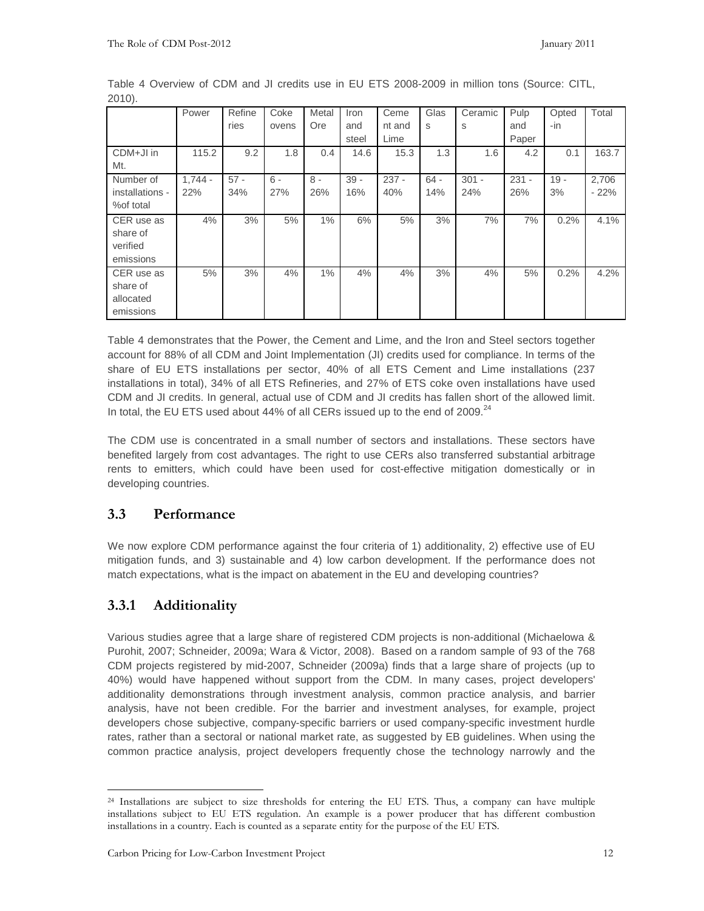|                 | Power     | Refine | Coke  | Metal | Iron   | Ceme    | Glas   | Ceramic | Pulp    | Opted  | Total  |
|-----------------|-----------|--------|-------|-------|--------|---------|--------|---------|---------|--------|--------|
|                 |           | ries   | ovens | Ore   | and    | nt and  | S      | S       | and     | -in    |        |
|                 |           |        |       |       | steel  | Lime    |        |         | Paper   |        |        |
| CDM+JI in       | 115.2     | 9.2    | 1.8   | 0.4   | 14.6   | 15.3    | 1.3    | 1.6     | 4.2     | 0.1    | 163.7  |
| Mt.             |           |        |       |       |        |         |        |         |         |        |        |
| Number of       | $1.744 -$ | $57 -$ | $6 -$ | $8 -$ | $39 -$ | $237 -$ | $64 -$ | $301 -$ | $231 -$ | $19 -$ | 2,706  |
| installations - | 22%       | 34%    | 27%   | 26%   | 16%    | 40%     | 14%    | 24%     | 26%     | 3%     | $-22%$ |
| %of total       |           |        |       |       |        |         |        |         |         |        |        |
| CER use as      | 4%        | 3%     | 5%    | 1%    | 6%     | 5%      | 3%     | 7%      | 7%      | 0.2%   | 4.1%   |
| share of        |           |        |       |       |        |         |        |         |         |        |        |
| verified        |           |        |       |       |        |         |        |         |         |        |        |
| emissions       |           |        |       |       |        |         |        |         |         |        |        |
| CER use as      | 5%        | 3%     | 4%    | 1%    | 4%     | 4%      | 3%     | 4%      | 5%      | 0.2%   | 4.2%   |
| share of        |           |        |       |       |        |         |        |         |         |        |        |
| allocated       |           |        |       |       |        |         |        |         |         |        |        |
| emissions       |           |        |       |       |        |         |        |         |         |        |        |

Table 4 Overview of CDM and JI credits use in EU ETS 2008-2009 in million tons (Source: CITL, 2010).

Table 4 demonstrates that the Power, the Cement and Lime, and the Iron and Steel sectors together account for 88% of all CDM and Joint Implementation (JI) credits used for compliance. In terms of the share of EU ETS installations per sector, 40% of all ETS Cement and Lime installations (237 installations in total), 34% of all ETS Refineries, and 27% of ETS coke oven installations have used CDM and JI credits. In general, actual use of CDM and JI credits has fallen short of the allowed limit. In total, the EU ETS used about 44% of all CERs issued up to the end of 2009. $^{24}$ 

The CDM use is concentrated in a small number of sectors and installations. These sectors have benefited largely from cost advantages. The right to use CERs also transferred substantial arbitrage rents to emitters, which could have been used for cost-effective mitigation domestically or in developing countries.

#### **3.3 Performance**

We now explore CDM performance against the four criteria of 1) additionality, 2) effective use of EU mitigation funds, and 3) sustainable and 4) low carbon development. If the performance does not match expectations, what is the impact on abatement in the EU and developing countries?

## **3.3.1 Additionality**

Various studies agree that a large share of registered CDM projects is non-additional (Michaelowa & Purohit, 2007; Schneider, 2009a; Wara & Victor, 2008). Based on a random sample of 93 of the 768 CDM projects registered by mid-2007, Schneider (2009a) finds that a large share of projects (up to 40%) would have happened without support from the CDM. In many cases, project developers' additionality demonstrations through investment analysis, common practice analysis, and barrier analysis, have not been credible. For the barrier and investment analyses, for example, project developers chose subjective, company-specific barriers or used company-specific investment hurdle rates, rather than a sectoral or national market rate, as suggested by EB guidelines. When using the common practice analysis, project developers frequently chose the technology narrowly and the

<sup>-</sup><sup>24</sup> Installations are subject to size thresholds for entering the EU ETS. Thus, a company can have multiple installations subject to EU ETS regulation. An example is a power producer that has different combustion installations in a country. Each is counted as a separate entity for the purpose of the EU ETS.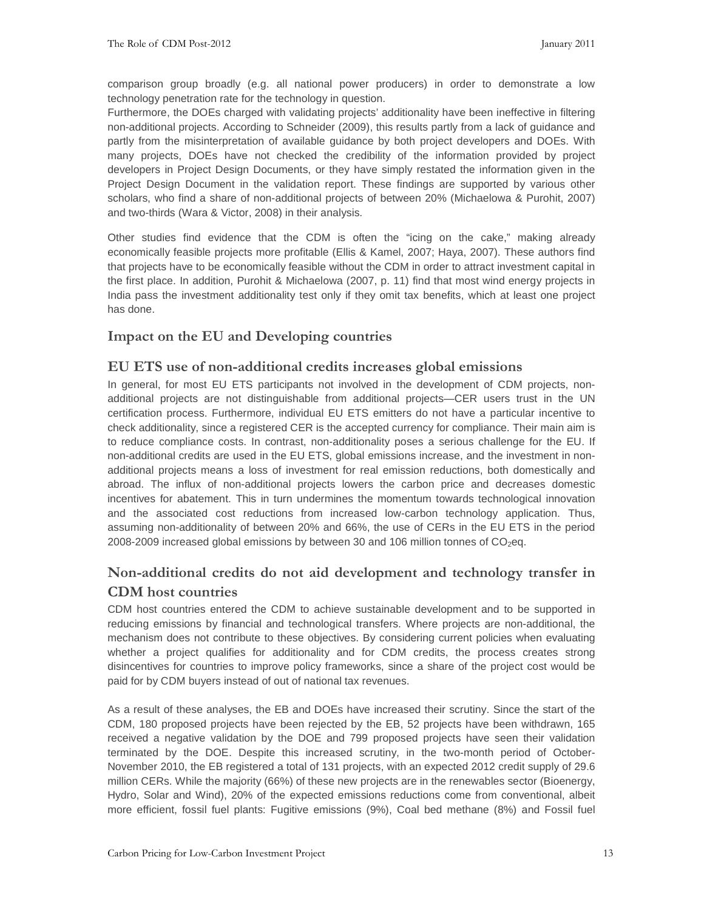comparison group broadly (e.g. all national power producers) in order to demonstrate a low technology penetration rate for the technology in question.

Furthermore, the DOEs charged with validating projects' additionality have been ineffective in filtering non-additional projects. According to Schneider (2009), this results partly from a lack of guidance and partly from the misinterpretation of available guidance by both project developers and DOEs. With many projects, DOEs have not checked the credibility of the information provided by project developers in Project Design Documents, or they have simply restated the information given in the Project Design Document in the validation report. These findings are supported by various other scholars, who find a share of non-additional projects of between 20% (Michaelowa & Purohit, 2007) and two-thirds (Wara & Victor, 2008) in their analysis.

Other studies find evidence that the CDM is often the "icing on the cake," making already economically feasible projects more profitable (Ellis & Kamel, 2007; Haya, 2007). These authors find that projects have to be economically feasible without the CDM in order to attract investment capital in the first place. In addition, Purohit & Michaelowa (2007, p. 11) find that most wind energy projects in India pass the investment additionality test only if they omit tax benefits, which at least one project has done.

#### **Impact on the EU and Developing countries**

#### **EU ETS use of non-additional credits increases global emissions**

In general, for most EU ETS participants not involved in the development of CDM projects, nonadditional projects are not distinguishable from additional projects—CER users trust in the UN certification process. Furthermore, individual EU ETS emitters do not have a particular incentive to check additionality, since a registered CER is the accepted currency for compliance. Their main aim is to reduce compliance costs. In contrast, non-additionality poses a serious challenge for the EU. If non-additional credits are used in the EU ETS, global emissions increase, and the investment in nonadditional projects means a loss of investment for real emission reductions, both domestically and abroad. The influx of non-additional projects lowers the carbon price and decreases domestic incentives for abatement. This in turn undermines the momentum towards technological innovation and the associated cost reductions from increased low-carbon technology application. Thus, assuming non-additionality of between 20% and 66%, the use of CERs in the EU ETS in the period 2008-2009 increased global emissions by between 30 and 106 million tonnes of  $CO<sub>2</sub>$ eq.

## **Non-additional credits do not aid development and technology transfer in CDM host countries**

CDM host countries entered the CDM to achieve sustainable development and to be supported in reducing emissions by financial and technological transfers. Where projects are non-additional, the mechanism does not contribute to these objectives. By considering current policies when evaluating whether a project qualifies for additionality and for CDM credits, the process creates strong disincentives for countries to improve policy frameworks, since a share of the project cost would be paid for by CDM buyers instead of out of national tax revenues.

As a result of these analyses, the EB and DOEs have increased their scrutiny. Since the start of the CDM, 180 proposed projects have been rejected by the EB, 52 projects have been withdrawn, 165 received a negative validation by the DOE and 799 proposed projects have seen their validation terminated by the DOE. Despite this increased scrutiny, in the two-month period of October-November 2010, the EB registered a total of 131 projects, with an expected 2012 credit supply of 29.6 million CERs. While the majority (66%) of these new projects are in the renewables sector (Bioenergy, Hydro, Solar and Wind), 20% of the expected emissions reductions come from conventional, albeit more efficient, fossil fuel plants: Fugitive emissions (9%), Coal bed methane (8%) and Fossil fuel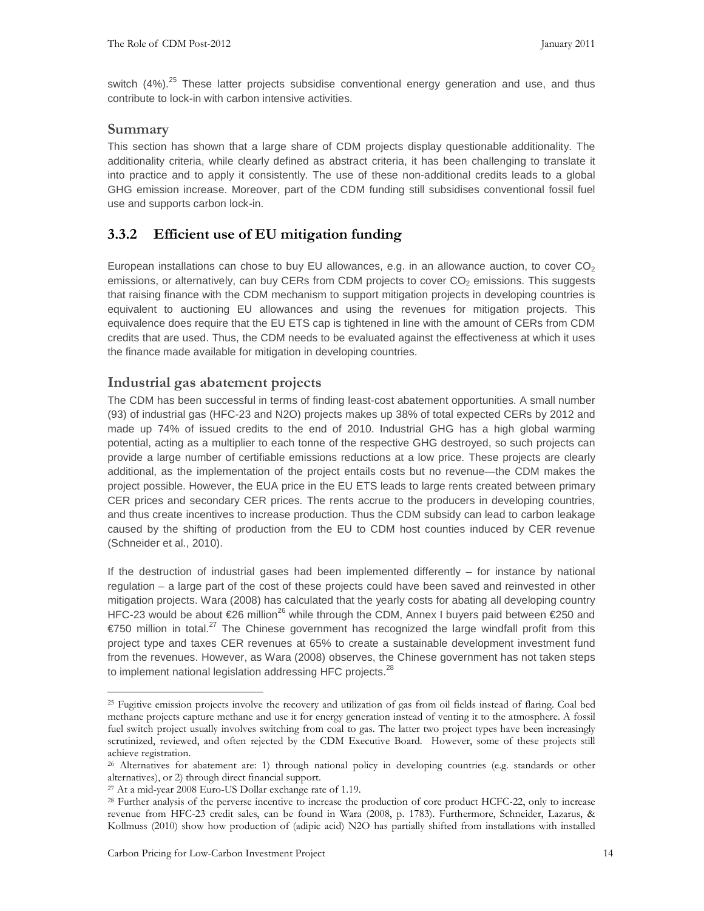switch  $(4%)$ .<sup>25</sup> These latter projects subsidise conventional energy generation and use, and thus contribute to lock-in with carbon intensive activities.

#### **Summary**

This section has shown that a large share of CDM projects display questionable additionality. The additionality criteria, while clearly defined as abstract criteria, it has been challenging to translate it into practice and to apply it consistently. The use of these non-additional credits leads to a global GHG emission increase. Moreover, part of the CDM funding still subsidises conventional fossil fuel use and supports carbon lock-in.

#### **3.3.2 Efficient use of EU mitigation funding**

European installations can chose to buy EU allowances, e.g. in an allowance auction, to cover  $CO<sub>2</sub>$ emissions, or alternatively, can buy CERs from CDM projects to cover  $CO<sub>2</sub>$  emissions. This suggests that raising finance with the CDM mechanism to support mitigation projects in developing countries is equivalent to auctioning EU allowances and using the revenues for mitigation projects. This equivalence does require that the EU ETS cap is tightened in line with the amount of CERs from CDM credits that are used. Thus, the CDM needs to be evaluated against the effectiveness at which it uses the finance made available for mitigation in developing countries.

#### **Industrial gas abatement projects**

The CDM has been successful in terms of finding least-cost abatement opportunities. A small number (93) of industrial gas (HFC-23 and N2O) projects makes up 38% of total expected CERs by 2012 and made up 74% of issued credits to the end of 2010. Industrial GHG has a high global warming potential, acting as a multiplier to each tonne of the respective GHG destroyed, so such projects can provide a large number of certifiable emissions reductions at a low price. These projects are clearly additional, as the implementation of the project entails costs but no revenue—the CDM makes the project possible. However, the EUA price in the EU ETS leads to large rents created between primary CER prices and secondary CER prices. The rents accrue to the producers in developing countries, and thus create incentives to increase production. Thus the CDM subsidy can lead to carbon leakage caused by the shifting of production from the EU to CDM host counties induced by CER revenue (Schneider et al., 2010).

If the destruction of industrial gases had been implemented differently – for instance by national regulation – a large part of the cost of these projects could have been saved and reinvested in other mitigation projects. Wara (2008) has calculated that the yearly costs for abating all developing country HFC-23 would be about €26 million<sup>26</sup> while through the CDM, Annex I buyers paid between €250 and  $€750$  million in total.<sup>27</sup> The Chinese government has recognized the large windfall profit from this project type and taxes CER revenues at 65% to create a sustainable development investment fund from the revenues. However, as Wara (2008) observes, the Chinese government has not taken steps to implement national legislation addressing HFC projects.<sup>28</sup>

<sup>25</sup> Fugitive emission projects involve the recovery and utilization of gas from oil fields instead of flaring. Coal bed methane projects capture methane and use it for energy generation instead of venting it to the atmosphere. A fossil fuel switch project usually involves switching from coal to gas. The latter two project types have been increasingly scrutinized, reviewed, and often rejected by the CDM Executive Board. However, some of these projects still achieve registration.

<sup>26</sup> Alternatives for abatement are: 1) through national policy in developing countries (e.g. standards or other alternatives), or 2) through direct financial support.

<sup>27</sup> At a mid-year 2008 Euro-US Dollar exchange rate of 1.19.

<sup>&</sup>lt;sup>28</sup> Further analysis of the perverse incentive to increase the production of core product HCFC-22, only to increase revenue from HFC-23 credit sales, can be found in Wara (2008, p. 1783). Furthermore, Schneider, Lazarus, & Kollmuss (2010) show how production of (adipic acid) N2O has partially shifted from installations with installed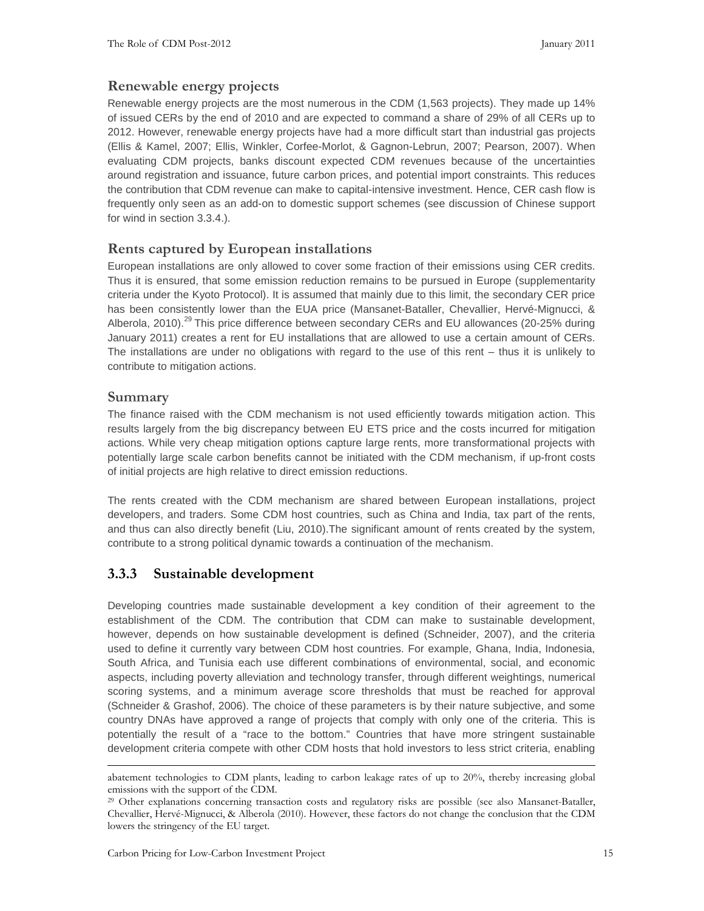#### **Renewable energy projects**

Renewable energy projects are the most numerous in the CDM (1,563 projects). They made up 14% of issued CERs by the end of 2010 and are expected to command a share of 29% of all CERs up to 2012. However, renewable energy projects have had a more difficult start than industrial gas projects (Ellis & Kamel, 2007; Ellis, Winkler, Corfee-Morlot, & Gagnon-Lebrun, 2007; Pearson, 2007). When evaluating CDM projects, banks discount expected CDM revenues because of the uncertainties around registration and issuance, future carbon prices, and potential import constraints. This reduces the contribution that CDM revenue can make to capital-intensive investment. Hence, CER cash flow is frequently only seen as an add-on to domestic support schemes (see discussion of Chinese support for wind in section 3.3.4.).

#### **Rents captured by European installations**

European installations are only allowed to cover some fraction of their emissions using CER credits. Thus it is ensured, that some emission reduction remains to be pursued in Europe (supplementarity criteria under the Kyoto Protocol). It is assumed that mainly due to this limit, the secondary CER price has been consistently lower than the EUA price (Mansanet-Bataller, Chevallier, Hervé-Mignucci, & Alberola, 2010).<sup>29</sup> This price difference between secondary CERs and EU allowances (20-25% during January 2011) creates a rent for EU installations that are allowed to use a certain amount of CERs. The installations are under no obligations with regard to the use of this rent – thus it is unlikely to contribute to mitigation actions.

#### **Summary**

 $\ddot{\phantom{a}}$ 

The finance raised with the CDM mechanism is not used efficiently towards mitigation action. This results largely from the big discrepancy between EU ETS price and the costs incurred for mitigation actions. While very cheap mitigation options capture large rents, more transformational projects with potentially large scale carbon benefits cannot be initiated with the CDM mechanism, if up-front costs of initial projects are high relative to direct emission reductions.

The rents created with the CDM mechanism are shared between European installations, project developers, and traders. Some CDM host countries, such as China and India, tax part of the rents, and thus can also directly benefit (Liu, 2010).The significant amount of rents created by the system, contribute to a strong political dynamic towards a continuation of the mechanism.

#### **3.3.3 Sustainable development**

Developing countries made sustainable development a key condition of their agreement to the establishment of the CDM. The contribution that CDM can make to sustainable development, however, depends on how sustainable development is defined (Schneider, 2007), and the criteria used to define it currently vary between CDM host countries. For example, Ghana, India, Indonesia, South Africa, and Tunisia each use different combinations of environmental, social, and economic aspects, including poverty alleviation and technology transfer, through different weightings, numerical scoring systems, and a minimum average score thresholds that must be reached for approval (Schneider & Grashof, 2006). The choice of these parameters is by their nature subjective, and some country DNAs have approved a range of projects that comply with only one of the criteria. This is potentially the result of a "race to the bottom." Countries that have more stringent sustainable development criteria compete with other CDM hosts that hold investors to less strict criteria, enabling

abatement technologies to CDM plants, leading to carbon leakage rates of up to 20%, thereby increasing global emissions with the support of the CDM.

<sup>&</sup>lt;sup>29</sup> Other explanations concerning transaction costs and regulatory risks are possible (see also Mansanet-Bataller, Chevallier, Hervé-Mignucci, & Alberola (2010). However, these factors do not change the conclusion that the CDM lowers the stringency of the EU target.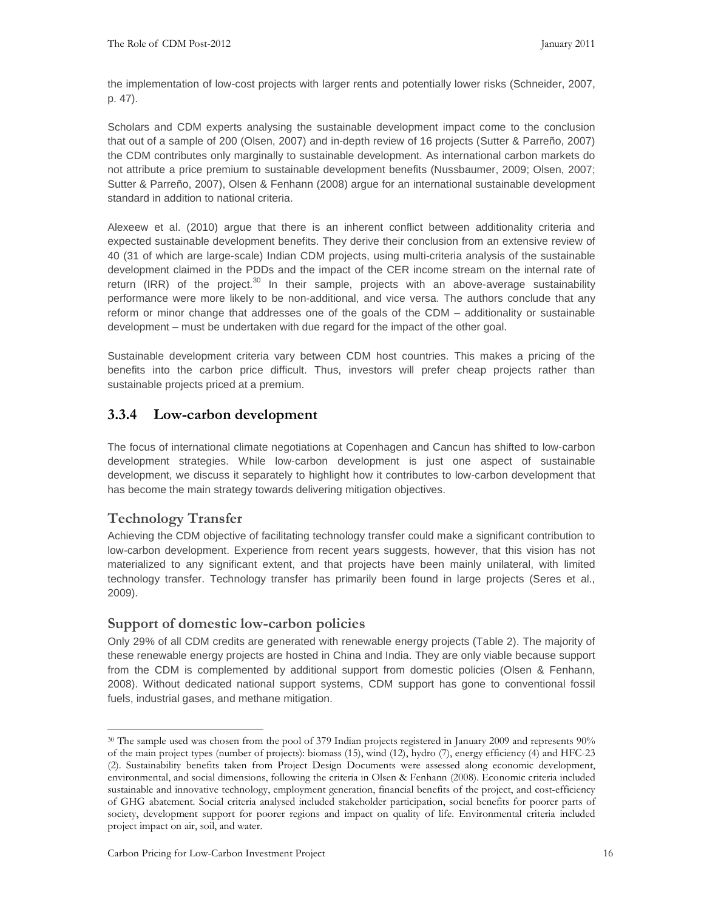the implementation of low-cost projects with larger rents and potentially lower risks (Schneider, 2007, p. 47).

Scholars and CDM experts analysing the sustainable development impact come to the conclusion that out of a sample of 200 (Olsen, 2007) and in-depth review of 16 projects (Sutter & Parreño, 2007) the CDM contributes only marginally to sustainable development. As international carbon markets do not attribute a price premium to sustainable development benefits (Nussbaumer, 2009; Olsen, 2007; Sutter & Parreño, 2007), Olsen & Fenhann (2008) argue for an international sustainable development standard in addition to national criteria.

Alexeew et al. (2010) argue that there is an inherent conflict between additionality criteria and expected sustainable development benefits. They derive their conclusion from an extensive review of 40 (31 of which are large-scale) Indian CDM projects, using multi-criteria analysis of the sustainable development claimed in the PDDs and the impact of the CER income stream on the internal rate of return (IRR) of the project.<sup>30</sup> In their sample, projects with an above-average sustainability performance were more likely to be non-additional, and vice versa. The authors conclude that any reform or minor change that addresses one of the goals of the CDM – additionality or sustainable development – must be undertaken with due regard for the impact of the other goal.

Sustainable development criteria vary between CDM host countries. This makes a pricing of the benefits into the carbon price difficult. Thus, investors will prefer cheap projects rather than sustainable projects priced at a premium.

## **3.3.4 Low-carbon development**

The focus of international climate negotiations at Copenhagen and Cancun has shifted to low-carbon development strategies. While low-carbon development is just one aspect of sustainable development, we discuss it separately to highlight how it contributes to low-carbon development that has become the main strategy towards delivering mitigation objectives.

## **Technology Transfer**

-

Achieving the CDM objective of facilitating technology transfer could make a significant contribution to low-carbon development. Experience from recent years suggests, however, that this vision has not materialized to any significant extent, and that projects have been mainly unilateral, with limited technology transfer. Technology transfer has primarily been found in large projects (Seres et al., 2009).

#### **Support of domestic low-carbon policies**

Only 29% of all CDM credits are generated with renewable energy projects (Table 2). The majority of these renewable energy projects are hosted in China and India. They are only viable because support from the CDM is complemented by additional support from domestic policies (Olsen & Fenhann, 2008). Without dedicated national support systems, CDM support has gone to conventional fossil fuels, industrial gases, and methane mitigation.

<sup>&</sup>lt;sup>30</sup> The sample used was chosen from the pool of 379 Indian projects registered in January 2009 and represents 90% of the main project types (number of projects): biomass (15), wind (12), hydro (7), energy efficiency (4) and HFC-23 (2). Sustainability benefits taken from Project Design Documents were assessed along economic development, environmental, and social dimensions, following the criteria in Olsen & Fenhann (2008). Economic criteria included sustainable and innovative technology, employment generation, financial benefits of the project, and cost-efficiency of GHG abatement. Social criteria analysed included stakeholder participation, social benefits for poorer parts of society, development support for poorer regions and impact on quality of life. Environmental criteria included project impact on air, soil, and water.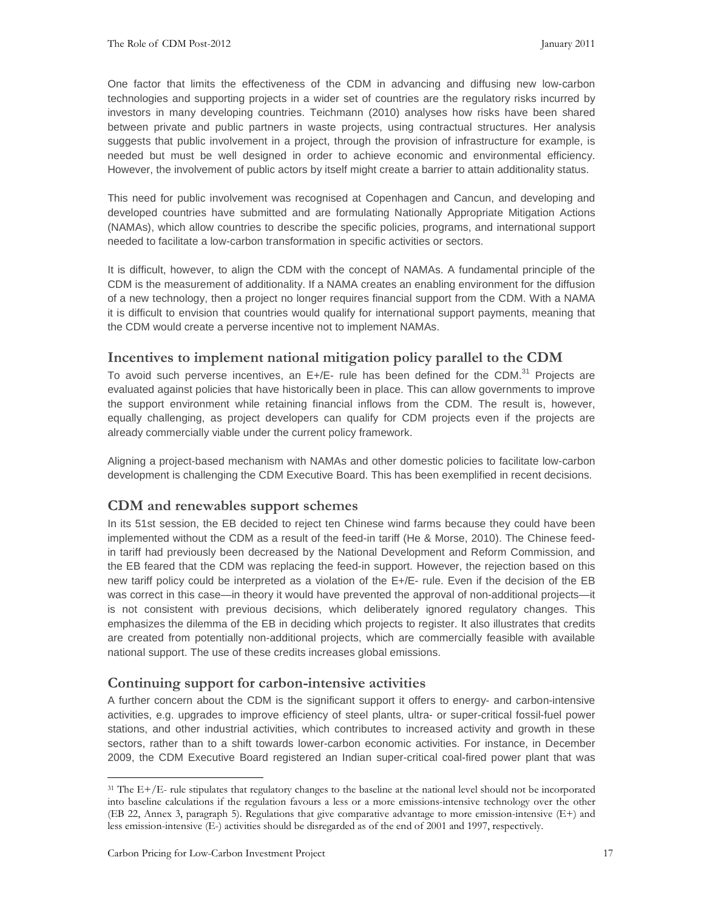One factor that limits the effectiveness of the CDM in advancing and diffusing new low-carbon technologies and supporting projects in a wider set of countries are the regulatory risks incurred by investors in many developing countries. Teichmann (2010) analyses how risks have been shared between private and public partners in waste projects, using contractual structures. Her analysis suggests that public involvement in a project, through the provision of infrastructure for example, is needed but must be well designed in order to achieve economic and environmental efficiency. However, the involvement of public actors by itself might create a barrier to attain additionality status.

This need for public involvement was recognised at Copenhagen and Cancun, and developing and developed countries have submitted and are formulating Nationally Appropriate Mitigation Actions (NAMAs), which allow countries to describe the specific policies, programs, and international support needed to facilitate a low-carbon transformation in specific activities or sectors.

It is difficult, however, to align the CDM with the concept of NAMAs. A fundamental principle of the CDM is the measurement of additionality. If a NAMA creates an enabling environment for the diffusion of a new technology, then a project no longer requires financial support from the CDM. With a NAMA it is difficult to envision that countries would qualify for international support payments, meaning that the CDM would create a perverse incentive not to implement NAMAs.

#### **Incentives to implement national mitigation policy parallel to the CDM**

To avoid such perverse incentives, an E+/E- rule has been defined for the CDM. $^{31}$  Projects are evaluated against policies that have historically been in place. This can allow governments to improve the support environment while retaining financial inflows from the CDM. The result is, however, equally challenging, as project developers can qualify for CDM projects even if the projects are already commercially viable under the current policy framework.

Aligning a project-based mechanism with NAMAs and other domestic policies to facilitate low-carbon development is challenging the CDM Executive Board. This has been exemplified in recent decisions.

#### **CDM and renewables support schemes**

In its 51st session, the EB decided to reject ten Chinese wind farms because they could have been implemented without the CDM as a result of the feed-in tariff (He & Morse, 2010). The Chinese feedin tariff had previously been decreased by the National Development and Reform Commission, and the EB feared that the CDM was replacing the feed-in support. However, the rejection based on this new tariff policy could be interpreted as a violation of the E+/E- rule. Even if the decision of the EB was correct in this case—in theory it would have prevented the approval of non-additional projects—it is not consistent with previous decisions, which deliberately ignored regulatory changes. This emphasizes the dilemma of the EB in deciding which projects to register. It also illustrates that credits are created from potentially non-additional projects, which are commercially feasible with available national support. The use of these credits increases global emissions.

#### **Continuing support for carbon-intensive activities**

A further concern about the CDM is the significant support it offers to energy- and carbon-intensive activities, e.g. upgrades to improve efficiency of steel plants, ultra- or super-critical fossil-fuel power stations, and other industrial activities, which contributes to increased activity and growth in these sectors, rather than to a shift towards lower-carbon economic activities. For instance, in December 2009, the CDM Executive Board registered an Indian super-critical coal-fired power plant that was

<sup>31</sup> The E+/E- rule stipulates that regulatory changes to the baseline at the national level should not be incorporated into baseline calculations if the regulation favours a less or a more emissions-intensive technology over the other (EB 22, Annex 3, paragraph 5). Regulations that give comparative advantage to more emission-intensive (E+) and less emission-intensive (E-) activities should be disregarded as of the end of 2001 and 1997, respectively.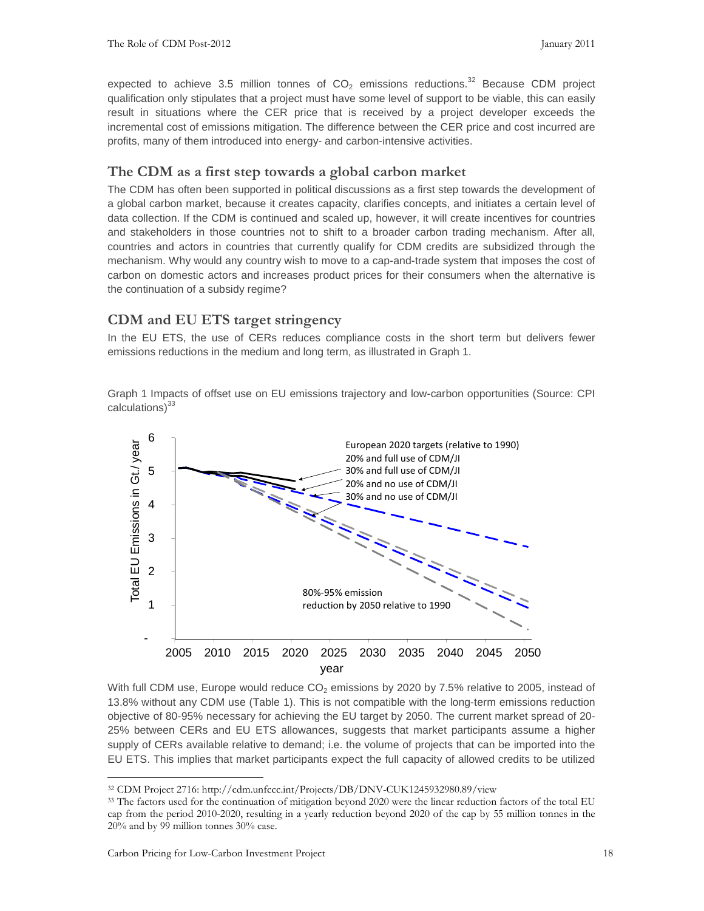expected to achieve 3.5 million tonnes of  $CO<sub>2</sub>$  emissions reductions.<sup>32</sup> Because CDM project qualification only stipulates that a project must have some level of support to be viable, this can easily result in situations where the CER price that is received by a project developer exceeds the incremental cost of emissions mitigation. The difference between the CER price and cost incurred are profits, many of them introduced into energy- and carbon-intensive activities.

#### **The CDM as a first step towards a global carbon market**

The CDM has often been supported in political discussions as a first step towards the development of a global carbon market, because it creates capacity, clarifies concepts, and initiates a certain level of data collection. If the CDM is continued and scaled up, however, it will create incentives for countries and stakeholders in those countries not to shift to a broader carbon trading mechanism. After all, countries and actors in countries that currently qualify for CDM credits are subsidized through the mechanism. Why would any country wish to move to a cap-and-trade system that imposes the cost of carbon on domestic actors and increases product prices for their consumers when the alternative is the continuation of a subsidy regime?

#### **CDM and EU ETS target stringency**

In the EU ETS, the use of CERs reduces compliance costs in the short term but delivers fewer emissions reductions in the medium and long term, as illustrated in Graph 1.

Graph 1 Impacts of offset use on EU emissions trajectory and low-carbon opportunities (Source: CPI calculations)<sup>33</sup>



With full CDM use, Europe would reduce  $CO<sub>2</sub>$  emissions by 2020 by 7.5% relative to 2005, instead of 13.8% without any CDM use (Table 1). This is not compatible with the long-term emissions reduction objective of 80-95% necessary for achieving the EU target by 2050. The current market spread of 20- 25% between CERs and EU ETS allowances, suggests that market participants assume a higher supply of CERs available relative to demand; i.e. the volume of projects that can be imported into the EU ETS. This implies that market participants expect the full capacity of allowed credits to be utilized

<sup>32</sup> CDM Project 2716: http://cdm.unfccc.int/Projects/DB/DNV-CUK1245932980.89/view

<sup>&</sup>lt;sup>33</sup> The factors used for the continuation of mitigation beyond 2020 were the linear reduction factors of the total EU cap from the period 2010-2020, resulting in a yearly reduction beyond 2020 of the cap by 55 million tonnes in the 20% and by 99 million tonnes 30% case.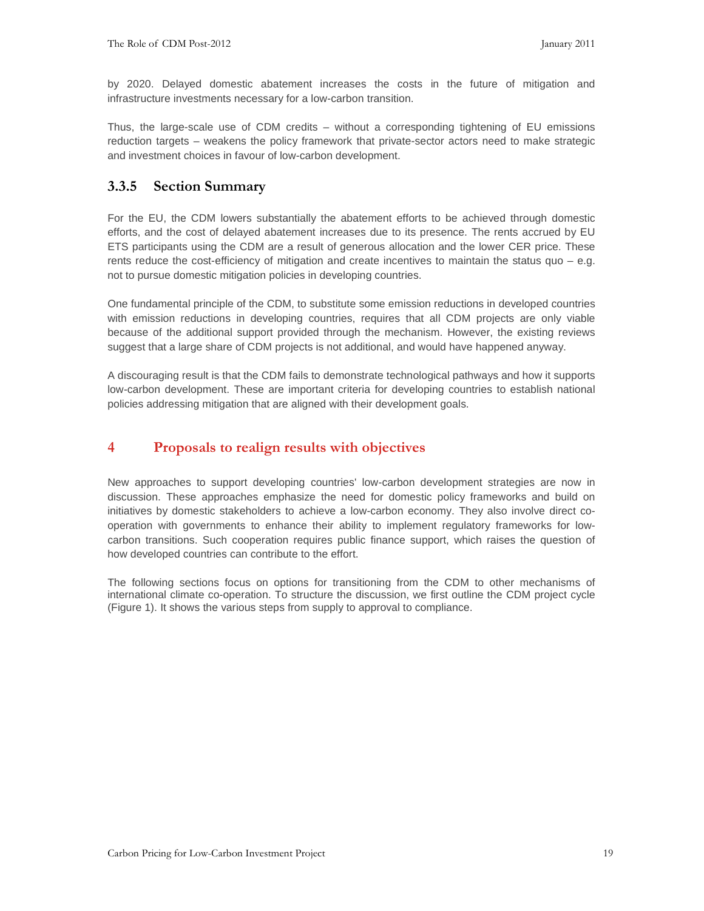by 2020. Delayed domestic abatement increases the costs in the future of mitigation and infrastructure investments necessary for a low-carbon transition.

Thus, the large-scale use of CDM credits – without a corresponding tightening of EU emissions reduction targets – weakens the policy framework that private-sector actors need to make strategic and investment choices in favour of low-carbon development.

#### **3.3.5 Section Summary**

For the EU, the CDM lowers substantially the abatement efforts to be achieved through domestic efforts, and the cost of delayed abatement increases due to its presence. The rents accrued by EU ETS participants using the CDM are a result of generous allocation and the lower CER price. These rents reduce the cost-efficiency of mitigation and create incentives to maintain the status quo – e.g. not to pursue domestic mitigation policies in developing countries.

One fundamental principle of the CDM, to substitute some emission reductions in developed countries with emission reductions in developing countries, requires that all CDM projects are only viable because of the additional support provided through the mechanism. However, the existing reviews suggest that a large share of CDM projects is not additional, and would have happened anyway.

A discouraging result is that the CDM fails to demonstrate technological pathways and how it supports low-carbon development. These are important criteria for developing countries to establish national policies addressing mitigation that are aligned with their development goals.

#### **4 Proposals to realign results with objectives**

New approaches to support developing countries' low-carbon development strategies are now in discussion. These approaches emphasize the need for domestic policy frameworks and build on initiatives by domestic stakeholders to achieve a low-carbon economy. They also involve direct cooperation with governments to enhance their ability to implement regulatory frameworks for lowcarbon transitions. Such cooperation requires public finance support, which raises the question of how developed countries can contribute to the effort.

The following sections focus on options for transitioning from the CDM to other mechanisms of international climate co-operation. To structure the discussion, we first outline the CDM project cycle (Figure 1). It shows the various steps from supply to approval to compliance.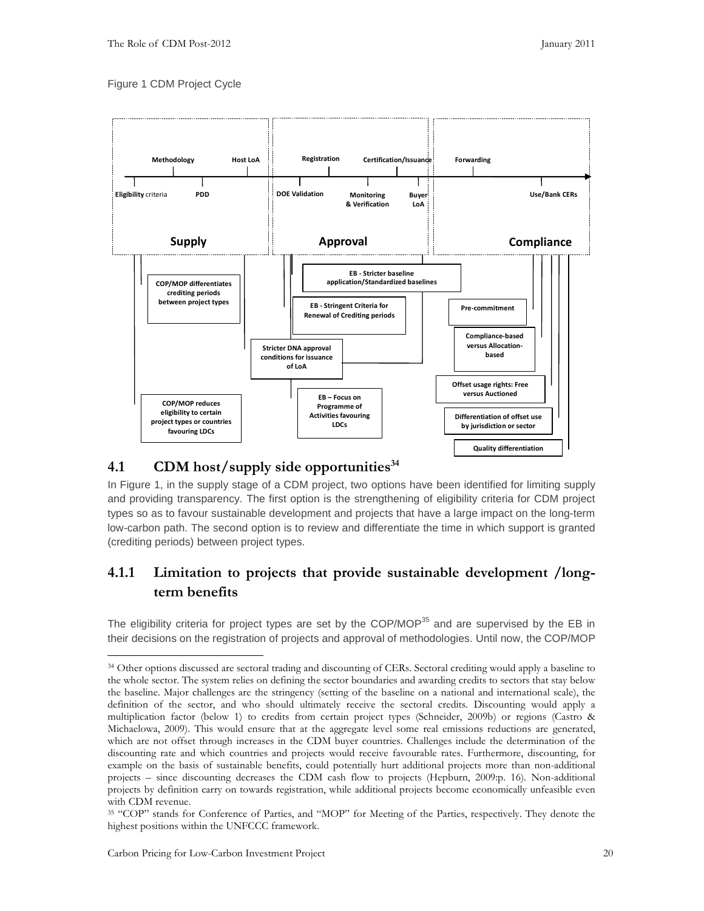#### Figure 1 CDM Project Cycle



#### **4.1 CDM host/supply side opportunities<sup>34</sup>**

In Figure 1, in the supply stage of a CDM project, two options have been identified for limiting supply and providing transparency. The first option is the strengthening of eligibility criteria for CDM project types so as to favour sustainable development and projects that have a large impact on the long-term low-carbon path. The second option is to review and differentiate the time in which support is granted (crediting periods) between project types.

## **4.1.1 Limitation to projects that provide sustainable development /longterm benefits**

The eligibility criteria for project types are set by the COP/MOP<sup>35</sup> and are supervised by the EB in their decisions on the registration of projects and approval of methodologies. Until now, the COP/MOP

<sup>&</sup>lt;sup>34</sup> Other options discussed are sectoral trading and discounting of CERs. Sectoral crediting would apply a baseline to the whole sector. The system relies on defining the sector boundaries and awarding credits to sectors that stay below the baseline. Major challenges are the stringency (setting of the baseline on a national and international scale), the definition of the sector, and who should ultimately receive the sectoral credits. Discounting would apply a multiplication factor (below 1) to credits from certain project types (Schneider, 2009b) or regions (Castro & Michaelowa, 2009). This would ensure that at the aggregate level some real emissions reductions are generated, which are not offset through increases in the CDM buyer countries. Challenges include the determination of the discounting rate and which countries and projects would receive favourable rates. Furthermore, discounting, for example on the basis of sustainable benefits, could potentially hurt additional projects more than non-additional projects – since discounting decreases the CDM cash flow to projects (Hepburn, 2009:p. 16). Non-additional projects by definition carry on towards registration, while additional projects become economically unfeasible even with CDM revenue.

<sup>35</sup> "COP" stands for Conference of Parties, and "MOP" for Meeting of the Parties, respectively. They denote the highest positions within the UNFCCC framework.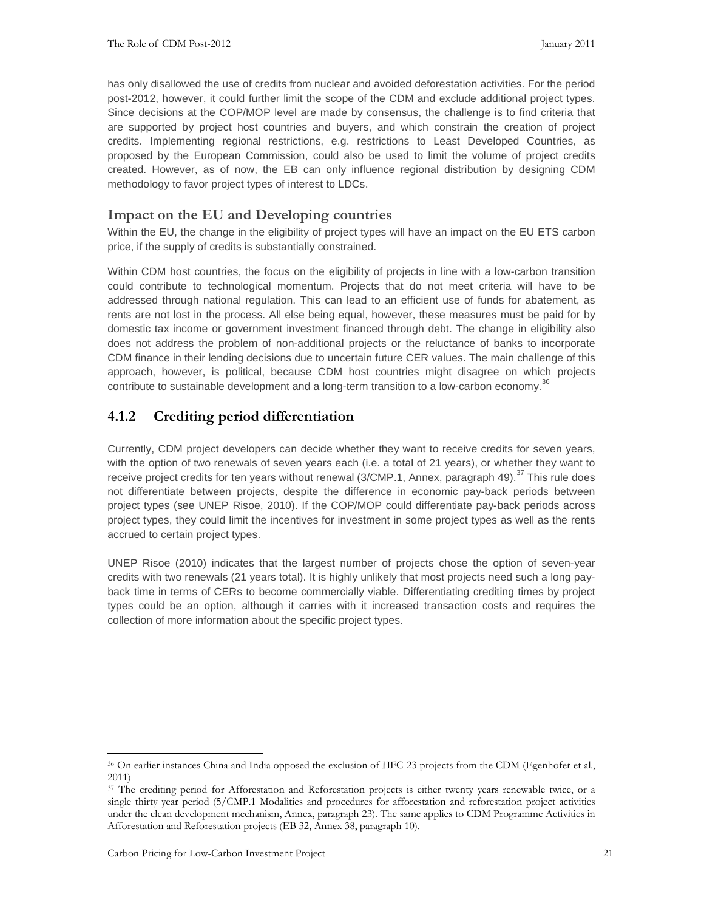has only disallowed the use of credits from nuclear and avoided deforestation activities. For the period post-2012, however, it could further limit the scope of the CDM and exclude additional project types. Since decisions at the COP/MOP level are made by consensus, the challenge is to find criteria that are supported by project host countries and buyers, and which constrain the creation of project credits. Implementing regional restrictions, e.g. restrictions to Least Developed Countries, as proposed by the European Commission, could also be used to limit the volume of project credits created. However, as of now, the EB can only influence regional distribution by designing CDM methodology to favor project types of interest to LDCs.

#### **Impact on the EU and Developing countries**

Within the EU, the change in the eligibility of project types will have an impact on the EU ETS carbon price, if the supply of credits is substantially constrained.

Within CDM host countries, the focus on the eligibility of projects in line with a low-carbon transition could contribute to technological momentum. Projects that do not meet criteria will have to be addressed through national regulation. This can lead to an efficient use of funds for abatement, as rents are not lost in the process. All else being equal, however, these measures must be paid for by domestic tax income or government investment financed through debt. The change in eligibility also does not address the problem of non-additional projects or the reluctance of banks to incorporate CDM finance in their lending decisions due to uncertain future CER values. The main challenge of this approach, however, is political, because CDM host countries might disagree on which projects contribute to sustainable development and a long-term transition to a low-carbon economy.<sup>36</sup>

#### **4.1.2 Crediting period differentiation**

Currently, CDM project developers can decide whether they want to receive credits for seven years, with the option of two renewals of seven years each (i.e. a total of 21 years), or whether they want to receive project credits for ten years without renewal (3/CMP.1, Annex, paragraph 49).<sup>37</sup> This rule does not differentiate between projects, despite the difference in economic pay-back periods between project types (see UNEP Risoe, 2010). If the COP/MOP could differentiate pay-back periods across project types, they could limit the incentives for investment in some project types as well as the rents accrued to certain project types.

UNEP Risoe (2010) indicates that the largest number of projects chose the option of seven-year credits with two renewals (21 years total). It is highly unlikely that most projects need such a long payback time in terms of CERs to become commercially viable. Differentiating crediting times by project types could be an option, although it carries with it increased transaction costs and requires the collection of more information about the specific project types.

<sup>36</sup> On earlier instances China and India opposed the exclusion of HFC-23 projects from the CDM (Egenhofer et al., 2011)

<sup>&</sup>lt;sup>37</sup> The crediting period for Afforestation and Reforestation projects is either twenty years renewable twice, or a single thirty year period (5/CMP.1 Modalities and procedures for afforestation and reforestation project activities under the clean development mechanism, Annex, paragraph 23). The same applies to CDM Programme Activities in Afforestation and Reforestation projects (EB 32, Annex 38, paragraph 10).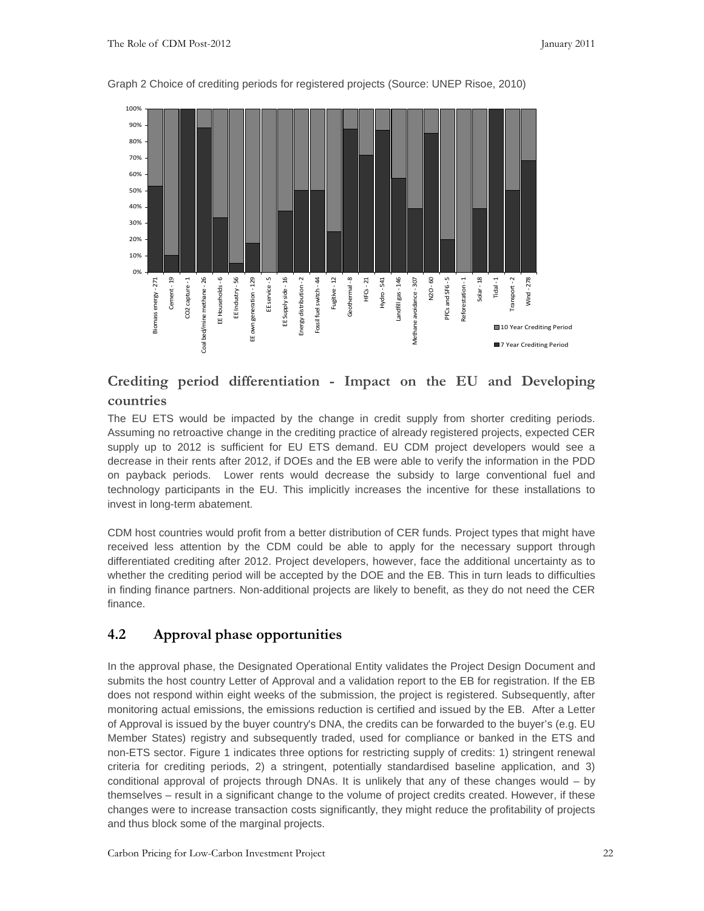

Graph 2 Choice of crediting periods for registered projects (Source: UNEP Risoe, 2010)

## **Crediting period differentiation - Impact on the EU and Developing countries**

The EU ETS would be impacted by the change in credit supply from shorter crediting periods. Assuming no retroactive change in the crediting practice of already registered projects, expected CER supply up to 2012 is sufficient for EU ETS demand. EU CDM project developers would see a decrease in their rents after 2012, if DOEs and the EB were able to verify the information in the PDD on payback periods. Lower rents would decrease the subsidy to large conventional fuel and technology participants in the EU. This implicitly increases the incentive for these installations to invest in long-term abatement.

CDM host countries would profit from a better distribution of CER funds. Project types that might have received less attention by the CDM could be able to apply for the necessary support through differentiated crediting after 2012. Project developers, however, face the additional uncertainty as to whether the crediting period will be accepted by the DOE and the EB. This in turn leads to difficulties in finding finance partners. Non-additional projects are likely to benefit, as they do not need the CER finance.

#### **4.2 Approval phase opportunities**

In the approval phase, the Designated Operational Entity validates the Project Design Document and submits the host country Letter of Approval and a validation report to the EB for registration. If the EB does not respond within eight weeks of the submission, the project is registered. Subsequently, after monitoring actual emissions, the emissions reduction is certified and issued by the EB. After a Letter of Approval is issued by the buyer country's DNA, the credits can be forwarded to the buyer's (e.g. EU Member States) registry and subsequently traded, used for compliance or banked in the ETS and non-ETS sector. Figure 1 indicates three options for restricting supply of credits: 1) stringent renewal criteria for crediting periods, 2) a stringent, potentially standardised baseline application, and 3) conditional approval of projects through DNAs. It is unlikely that any of these changes would – by themselves – result in a significant change to the volume of project credits created. However, if these changes were to increase transaction costs significantly, they might reduce the profitability of projects and thus block some of the marginal projects.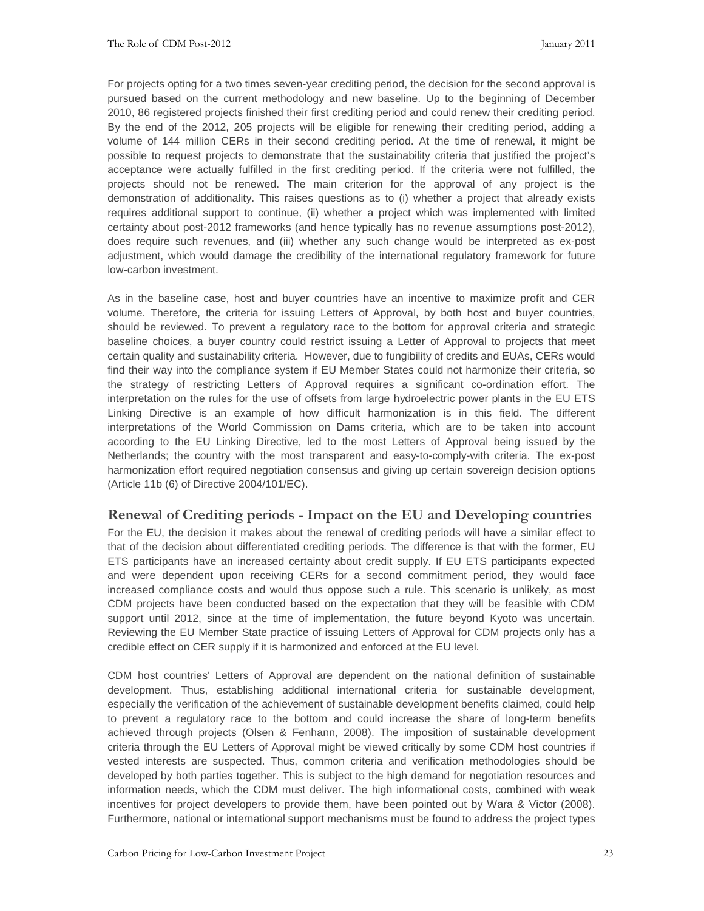For projects opting for a two times seven-year crediting period, the decision for the second approval is pursued based on the current methodology and new baseline. Up to the beginning of December 2010, 86 registered projects finished their first crediting period and could renew their crediting period. By the end of the 2012, 205 projects will be eligible for renewing their crediting period, adding a volume of 144 million CERs in their second crediting period. At the time of renewal, it might be possible to request projects to demonstrate that the sustainability criteria that justified the project's acceptance were actually fulfilled in the first crediting period. If the criteria were not fulfilled, the projects should not be renewed. The main criterion for the approval of any project is the demonstration of additionality. This raises questions as to (i) whether a project that already exists requires additional support to continue, (ii) whether a project which was implemented with limited certainty about post-2012 frameworks (and hence typically has no revenue assumptions post-2012), does require such revenues, and (iii) whether any such change would be interpreted as ex-post adjustment, which would damage the credibility of the international regulatory framework for future low-carbon investment.

As in the baseline case, host and buyer countries have an incentive to maximize profit and CER volume. Therefore, the criteria for issuing Letters of Approval, by both host and buyer countries, should be reviewed. To prevent a regulatory race to the bottom for approval criteria and strategic baseline choices, a buyer country could restrict issuing a Letter of Approval to projects that meet certain quality and sustainability criteria. However, due to fungibility of credits and EUAs, CERs would find their way into the compliance system if EU Member States could not harmonize their criteria, so the strategy of restricting Letters of Approval requires a significant co-ordination effort. The interpretation on the rules for the use of offsets from large hydroelectric power plants in the EU ETS Linking Directive is an example of how difficult harmonization is in this field. The different interpretations of the World Commission on Dams criteria, which are to be taken into account according to the EU Linking Directive, led to the most Letters of Approval being issued by the Netherlands; the country with the most transparent and easy-to-comply-with criteria. The ex-post harmonization effort required negotiation consensus and giving up certain sovereign decision options (Article 11b (6) of Directive 2004/101/EC).

#### **Renewal of Crediting periods - Impact on the EU and Developing countries**

For the EU, the decision it makes about the renewal of crediting periods will have a similar effect to that of the decision about differentiated crediting periods. The difference is that with the former, EU ETS participants have an increased certainty about credit supply. If EU ETS participants expected and were dependent upon receiving CERs for a second commitment period, they would face increased compliance costs and would thus oppose such a rule. This scenario is unlikely, as most CDM projects have been conducted based on the expectation that they will be feasible with CDM support until 2012, since at the time of implementation, the future beyond Kyoto was uncertain. Reviewing the EU Member State practice of issuing Letters of Approval for CDM projects only has a credible effect on CER supply if it is harmonized and enforced at the EU level.

CDM host countries' Letters of Approval are dependent on the national definition of sustainable development. Thus, establishing additional international criteria for sustainable development, especially the verification of the achievement of sustainable development benefits claimed, could help to prevent a regulatory race to the bottom and could increase the share of long-term benefits achieved through projects (Olsen & Fenhann, 2008). The imposition of sustainable development criteria through the EU Letters of Approval might be viewed critically by some CDM host countries if vested interests are suspected. Thus, common criteria and verification methodologies should be developed by both parties together. This is subject to the high demand for negotiation resources and information needs, which the CDM must deliver. The high informational costs, combined with weak incentives for project developers to provide them, have been pointed out by Wara & Victor (2008). Furthermore, national or international support mechanisms must be found to address the project types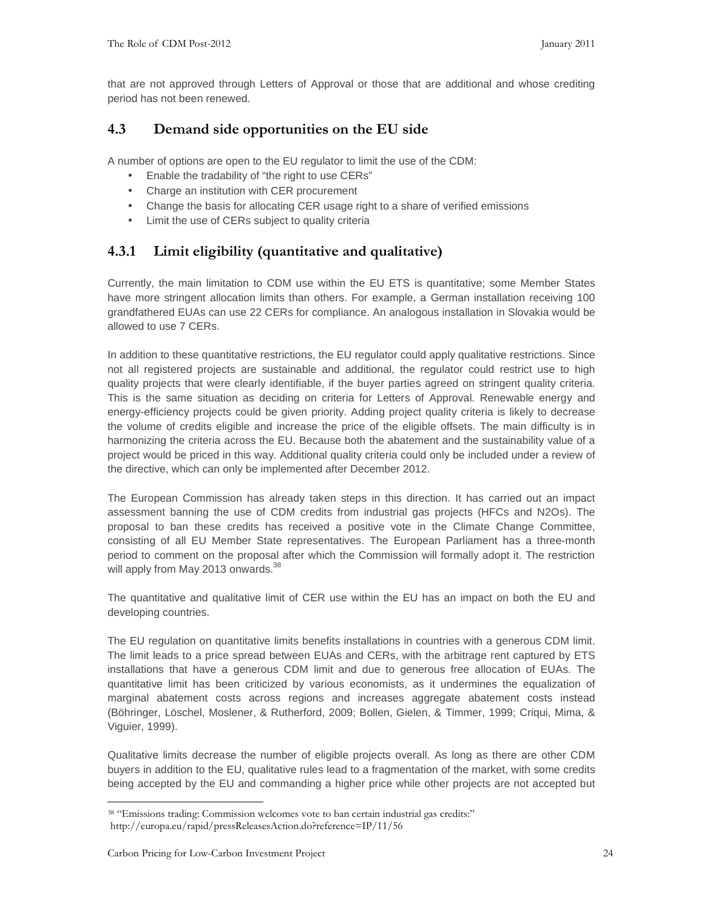that are not approved through Letters of Approval or those that are additional and whose crediting period has not been renewed.

#### **4.3 Demand side opportunities on the EU side**

A number of options are open to the EU regulator to limit the use of the CDM:

- Enable the tradability of "the right to use CERs"
- Charge an institution with CER procurement
- Change the basis for allocating CER usage right to a share of verified emissions
- Limit the use of CERs subject to quality criteria

#### **4.3.1 Limit eligibility (quantitative and qualitative)**

Currently, the main limitation to CDM use within the EU ETS is quantitative; some Member States have more stringent allocation limits than others. For example, a German installation receiving 100 grandfathered EUAs can use 22 CERs for compliance. An analogous installation in Slovakia would be allowed to use 7 CERs.

In addition to these quantitative restrictions, the EU regulator could apply qualitative restrictions. Since not all registered projects are sustainable and additional, the regulator could restrict use to high quality projects that were clearly identifiable, if the buyer parties agreed on stringent quality criteria. This is the same situation as deciding on criteria for Letters of Approval. Renewable energy and energy-efficiency projects could be given priority. Adding project quality criteria is likely to decrease the volume of credits eligible and increase the price of the eligible offsets. The main difficulty is in harmonizing the criteria across the EU. Because both the abatement and the sustainability value of a project would be priced in this way. Additional quality criteria could only be included under a review of the directive, which can only be implemented after December 2012.

The European Commission has already taken steps in this direction. It has carried out an impact assessment banning the use of CDM credits from industrial gas projects (HFCs and N2Os). The proposal to ban these credits has received a positive vote in the Climate Change Committee, consisting of all EU Member State representatives. The European Parliament has a three-month period to comment on the proposal after which the Commission will formally adopt it. The restriction will apply from May 2013 onwards.<sup>38</sup>

The quantitative and qualitative limit of CER use within the EU has an impact on both the EU and developing countries.

The EU regulation on quantitative limits benefits installations in countries with a generous CDM limit. The limit leads to a price spread between EUAs and CERs, with the arbitrage rent captured by ETS installations that have a generous CDM limit and due to generous free allocation of EUAs. The quantitative limit has been criticized by various economists, as it undermines the equalization of marginal abatement costs across regions and increases aggregate abatement costs instead (Böhringer, Löschel, Moslener, & Rutherford, 2009; Bollen, Gielen, & Timmer, 1999; Criqui, Mima, & Viguier, 1999).

Qualitative limits decrease the number of eligible projects overall. As long as there are other CDM buyers in addition to the EU, qualitative rules lead to a fragmentation of the market, with some credits being accepted by the EU and commanding a higher price while other projects are not accepted but

<sup>38</sup> "Emissions trading: Commission welcomes vote to ban certain industrial gas credits:" http://europa.eu/rapid/pressReleasesAction.do?reference=IP/11/56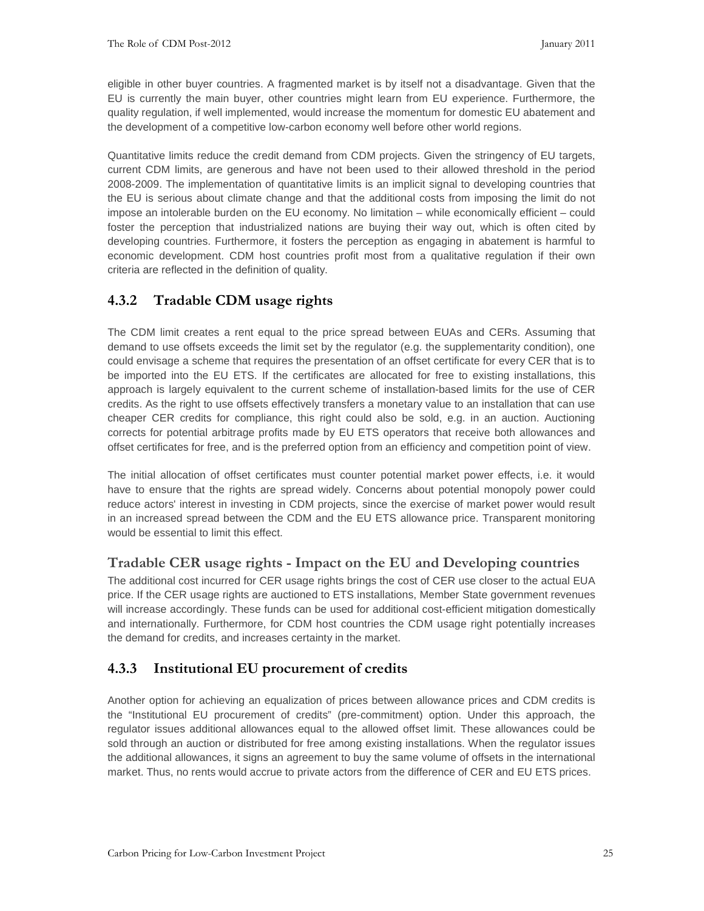eligible in other buyer countries. A fragmented market is by itself not a disadvantage. Given that the EU is currently the main buyer, other countries might learn from EU experience. Furthermore, the quality regulation, if well implemented, would increase the momentum for domestic EU abatement and the development of a competitive low-carbon economy well before other world regions.

Quantitative limits reduce the credit demand from CDM projects. Given the stringency of EU targets, current CDM limits, are generous and have not been used to their allowed threshold in the period 2008-2009. The implementation of quantitative limits is an implicit signal to developing countries that the EU is serious about climate change and that the additional costs from imposing the limit do not impose an intolerable burden on the EU economy. No limitation – while economically efficient – could foster the perception that industrialized nations are buying their way out, which is often cited by developing countries. Furthermore, it fosters the perception as engaging in abatement is harmful to economic development. CDM host countries profit most from a qualitative regulation if their own criteria are reflected in the definition of quality.

## **4.3.2 Tradable CDM usage rights**

The CDM limit creates a rent equal to the price spread between EUAs and CERs. Assuming that demand to use offsets exceeds the limit set by the regulator (e.g. the supplementarity condition), one could envisage a scheme that requires the presentation of an offset certificate for every CER that is to be imported into the EU ETS. If the certificates are allocated for free to existing installations, this approach is largely equivalent to the current scheme of installation-based limits for the use of CER credits. As the right to use offsets effectively transfers a monetary value to an installation that can use cheaper CER credits for compliance, this right could also be sold, e.g. in an auction. Auctioning corrects for potential arbitrage profits made by EU ETS operators that receive both allowances and offset certificates for free, and is the preferred option from an efficiency and competition point of view.

The initial allocation of offset certificates must counter potential market power effects, i.e. it would have to ensure that the rights are spread widely. Concerns about potential monopoly power could reduce actors' interest in investing in CDM projects, since the exercise of market power would result in an increased spread between the CDM and the EU ETS allowance price. Transparent monitoring would be essential to limit this effect.

## **Tradable CER usage rights - Impact on the EU and Developing countries**

The additional cost incurred for CER usage rights brings the cost of CER use closer to the actual EUA price. If the CER usage rights are auctioned to ETS installations, Member State government revenues will increase accordingly. These funds can be used for additional cost-efficient mitigation domestically and internationally. Furthermore, for CDM host countries the CDM usage right potentially increases the demand for credits, and increases certainty in the market.

## **4.3.3 Institutional EU procurement of credits**

Another option for achieving an equalization of prices between allowance prices and CDM credits is the "Institutional EU procurement of credits" (pre-commitment) option. Under this approach, the regulator issues additional allowances equal to the allowed offset limit. These allowances could be sold through an auction or distributed for free among existing installations. When the regulator issues the additional allowances, it signs an agreement to buy the same volume of offsets in the international market. Thus, no rents would accrue to private actors from the difference of CER and EU ETS prices.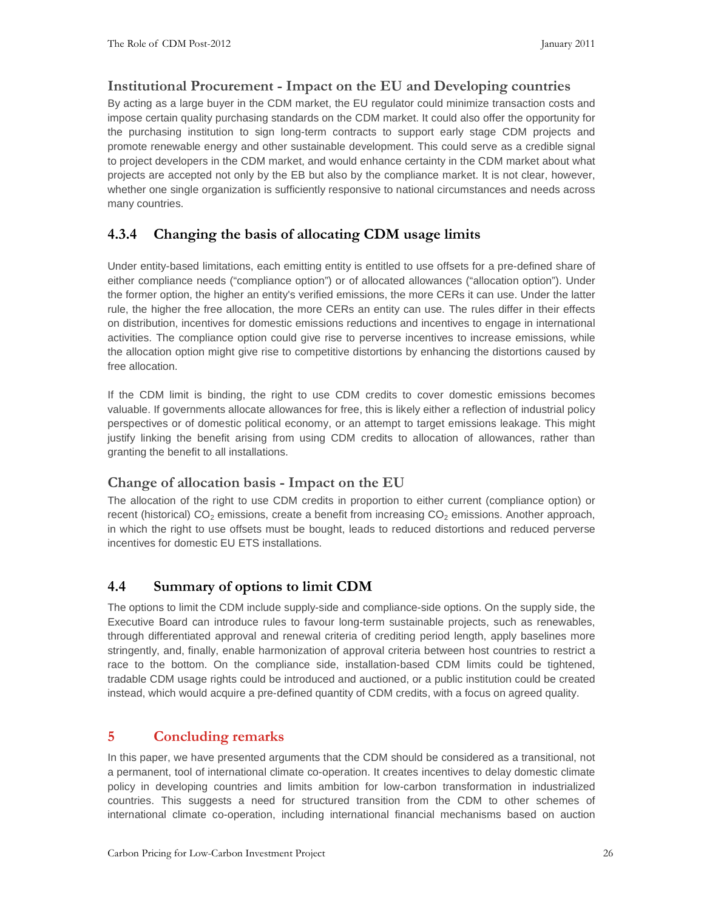#### **Institutional Procurement - Impact on the EU and Developing countries**

By acting as a large buyer in the CDM market, the EU regulator could minimize transaction costs and impose certain quality purchasing standards on the CDM market. It could also offer the opportunity for the purchasing institution to sign long-term contracts to support early stage CDM projects and promote renewable energy and other sustainable development. This could serve as a credible signal to project developers in the CDM market, and would enhance certainty in the CDM market about what projects are accepted not only by the EB but also by the compliance market. It is not clear, however, whether one single organization is sufficiently responsive to national circumstances and needs across many countries.

## **4.3.4 Changing the basis of allocating CDM usage limits**

Under entity-based limitations, each emitting entity is entitled to use offsets for a pre-defined share of either compliance needs ("compliance option") or of allocated allowances ("allocation option"). Under the former option, the higher an entity's verified emissions, the more CERs it can use. Under the latter rule, the higher the free allocation, the more CERs an entity can use. The rules differ in their effects on distribution, incentives for domestic emissions reductions and incentives to engage in international activities. The compliance option could give rise to perverse incentives to increase emissions, while the allocation option might give rise to competitive distortions by enhancing the distortions caused by free allocation.

If the CDM limit is binding, the right to use CDM credits to cover domestic emissions becomes valuable. If governments allocate allowances for free, this is likely either a reflection of industrial policy perspectives or of domestic political economy, or an attempt to target emissions leakage. This might justify linking the benefit arising from using CDM credits to allocation of allowances, rather than granting the benefit to all installations.

#### **Change of allocation basis - Impact on the EU**

The allocation of the right to use CDM credits in proportion to either current (compliance option) or recent (historical) CO<sub>2</sub> emissions, create a benefit from increasing CO<sub>2</sub> emissions. Another approach, in which the right to use offsets must be bought, leads to reduced distortions and reduced perverse incentives for domestic EU ETS installations.

## **4.4 Summary of options to limit CDM**

The options to limit the CDM include supply-side and compliance-side options. On the supply side, the Executive Board can introduce rules to favour long-term sustainable projects, such as renewables, through differentiated approval and renewal criteria of crediting period length, apply baselines more stringently, and, finally, enable harmonization of approval criteria between host countries to restrict a race to the bottom. On the compliance side, installation-based CDM limits could be tightened, tradable CDM usage rights could be introduced and auctioned, or a public institution could be created instead, which would acquire a pre-defined quantity of CDM credits, with a focus on agreed quality.

## **5 Concluding remarks**

In this paper, we have presented arguments that the CDM should be considered as a transitional, not a permanent, tool of international climate co-operation. It creates incentives to delay domestic climate policy in developing countries and limits ambition for low-carbon transformation in industrialized countries. This suggests a need for structured transition from the CDM to other schemes of international climate co-operation, including international financial mechanisms based on auction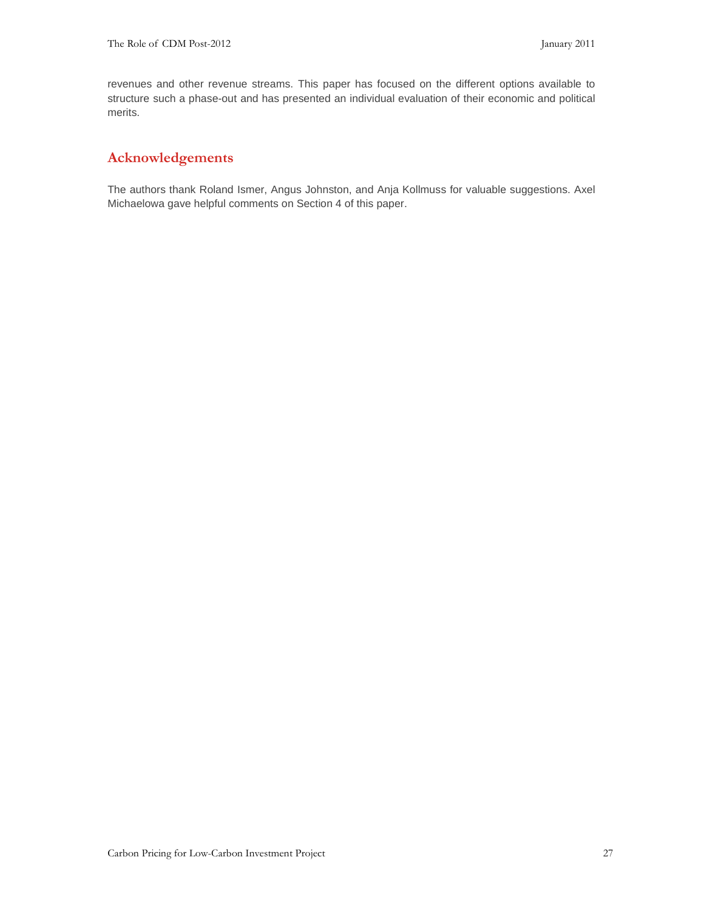revenues and other revenue streams. This paper has focused on the different options available to structure such a phase-out and has presented an individual evaluation of their economic and political merits.

#### **Acknowledgements**

The authors thank Roland Ismer, Angus Johnston, and Anja Kollmuss for valuable suggestions. Axel Michaelowa gave helpful comments on Section 4 of this paper.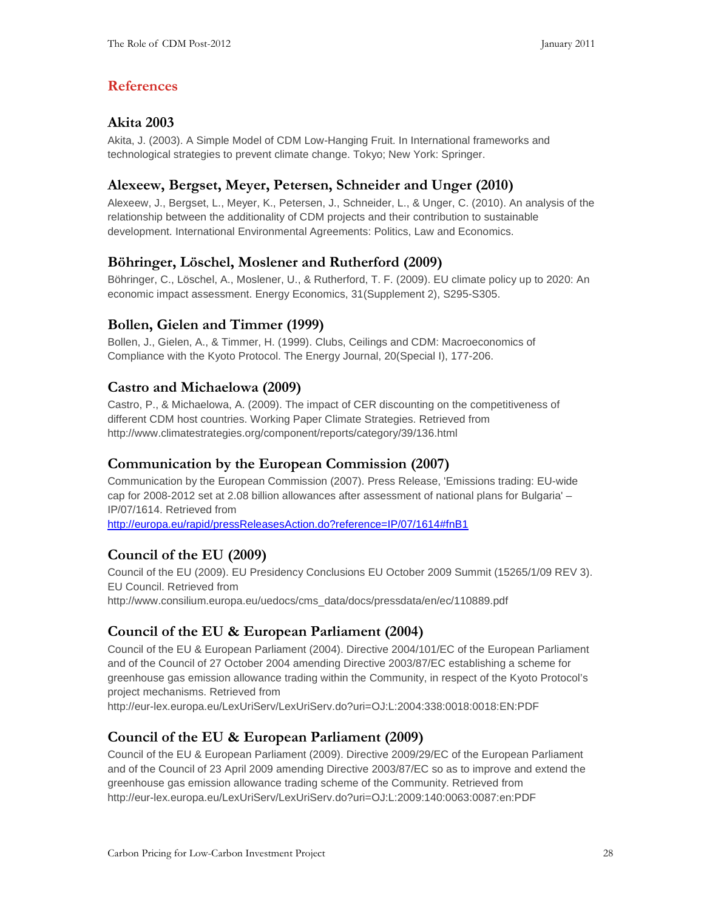## **References**

#### **Akita 2003**

Akita, J. (2003). A Simple Model of CDM Low-Hanging Fruit. In International frameworks and technological strategies to prevent climate change. Tokyo; New York: Springer.

#### **Alexeew, Bergset, Meyer, Petersen, Schneider and Unger (2010)**

Alexeew, J., Bergset, L., Meyer, K., Petersen, J., Schneider, L., & Unger, C. (2010). An analysis of the relationship between the additionality of CDM projects and their contribution to sustainable development. International Environmental Agreements: Politics, Law and Economics.

## **Böhringer, Löschel, Moslener and Rutherford (2009)**

Böhringer, C., Löschel, A., Moslener, U., & Rutherford, T. F. (2009). EU climate policy up to 2020: An economic impact assessment. Energy Economics, 31(Supplement 2), S295-S305.

#### **Bollen, Gielen and Timmer (1999)**

Bollen, J., Gielen, A., & Timmer, H. (1999). Clubs, Ceilings and CDM: Macroeconomics of Compliance with the Kyoto Protocol. The Energy Journal, 20(Special I), 177-206.

#### **Castro and Michaelowa (2009)**

Castro, P., & Michaelowa, A. (2009). The impact of CER discounting on the competitiveness of different CDM host countries. Working Paper Climate Strategies. Retrieved from http://www.climatestrategies.org/component/reports/category/39/136.html

#### **Communication by the European Commission (2007)**

Communication by the European Commission (2007). Press Release, 'Emissions trading: EU-wide cap for 2008-2012 set at 2.08 billion allowances after assessment of national plans for Bulgaria' – IP/07/1614. Retrieved from

http://europa.eu/rapid/pressReleasesAction.do?reference=IP/07/1614#fnB1

## **Council of the EU (2009)**

Council of the EU (2009). EU Presidency Conclusions EU October 2009 Summit (15265/1/09 REV 3). EU Council. Retrieved from http://www.consilium.europa.eu/uedocs/cms\_data/docs/pressdata/en/ec/110889.pdf

## **Council of the EU & European Parliament (2004)**

Council of the EU & European Parliament (2004). Directive 2004/101/EC of the European Parliament and of the Council of 27 October 2004 amending Directive 2003/87/EC establishing a scheme for greenhouse gas emission allowance trading within the Community, in respect of the Kyoto Protocol's project mechanisms. Retrieved from

http://eur-lex.europa.eu/LexUriServ/LexUriServ.do?uri=OJ:L:2004:338:0018:0018:EN:PDF

## **Council of the EU & European Parliament (2009)**

Council of the EU & European Parliament (2009). Directive 2009/29/EC of the European Parliament and of the Council of 23 April 2009 amending Directive 2003/87/EC so as to improve and extend the greenhouse gas emission allowance trading scheme of the Community. Retrieved from http://eur-lex.europa.eu/LexUriServ/LexUriServ.do?uri=OJ:L:2009:140:0063:0087:en:PDF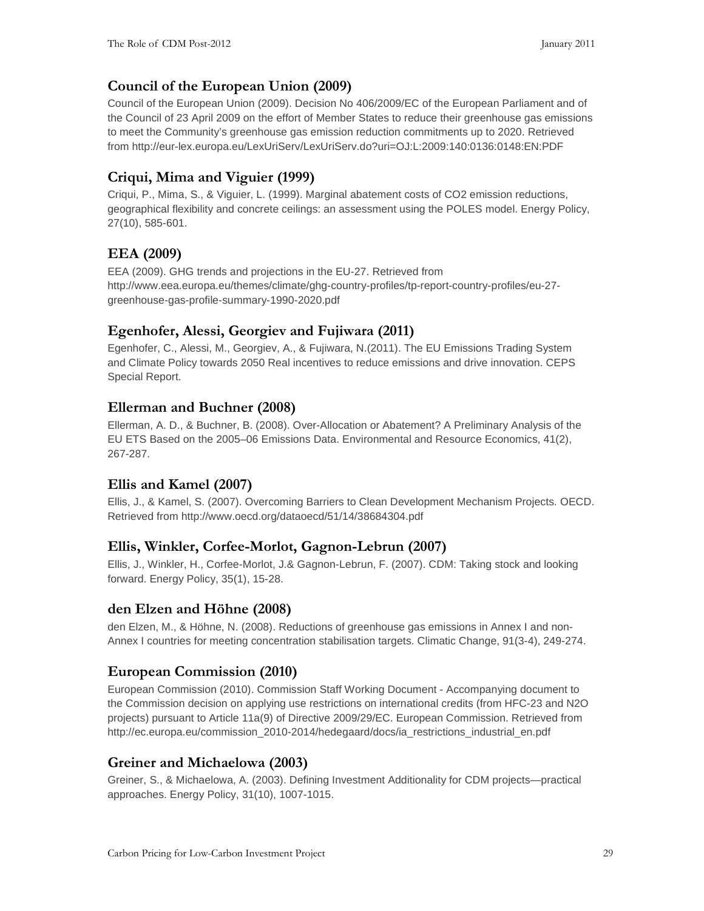## **Council of the European Union (2009)**

Council of the European Union (2009). Decision No 406/2009/EC of the European Parliament and of the Council of 23 April 2009 on the effort of Member States to reduce their greenhouse gas emissions to meet the Community's greenhouse gas emission reduction commitments up to 2020. Retrieved from http://eur-lex.europa.eu/LexUriServ/LexUriServ.do?uri=OJ:L:2009:140:0136:0148:EN:PDF

## **Criqui, Mima and Viguier (1999)**

Criqui, P., Mima, S., & Viguier, L. (1999). Marginal abatement costs of CO2 emission reductions, geographical flexibility and concrete ceilings: an assessment using the POLES model. Energy Policy, 27(10), 585-601.

## **EEA (2009)**

EEA (2009). GHG trends and projections in the EU-27. Retrieved from http://www.eea.europa.eu/themes/climate/ghg-country-profiles/tp-report-country-profiles/eu-27 greenhouse-gas-profile-summary-1990-2020.pdf

#### **Egenhofer, Alessi, Georgiev and Fujiwara (2011)**

Egenhofer, C., Alessi, M., Georgiev, A., & Fujiwara, N.(2011). The EU Emissions Trading System and Climate Policy towards 2050 Real incentives to reduce emissions and drive innovation. CEPS Special Report.

#### **Ellerman and Buchner (2008)**

Ellerman, A. D., & Buchner, B. (2008). Over-Allocation or Abatement? A Preliminary Analysis of the EU ETS Based on the 2005–06 Emissions Data. Environmental and Resource Economics, 41(2), 267-287.

#### **Ellis and Kamel (2007)**

Ellis, J., & Kamel, S. (2007). Overcoming Barriers to Clean Development Mechanism Projects. OECD. Retrieved from http://www.oecd.org/dataoecd/51/14/38684304.pdf

#### **Ellis, Winkler, Corfee-Morlot, Gagnon-Lebrun (2007)**

Ellis, J., Winkler, H., Corfee-Morlot, J.& Gagnon-Lebrun, F. (2007). CDM: Taking stock and looking forward. Energy Policy, 35(1), 15-28.

#### **den Elzen and Höhne (2008)**

den Elzen, M., & Höhne, N. (2008). Reductions of greenhouse gas emissions in Annex I and non-Annex I countries for meeting concentration stabilisation targets. Climatic Change, 91(3-4), 249-274.

## **European Commission (2010)**

European Commission (2010). Commission Staff Working Document - Accompanying document to the Commission decision on applying use restrictions on international credits (from HFC-23 and N2O projects) pursuant to Article 11a(9) of Directive 2009/29/EC. European Commission. Retrieved from http://ec.europa.eu/commission\_2010-2014/hedegaard/docs/ia\_restrictions\_industrial\_en.pdf

#### **Greiner and Michaelowa (2003)**

Greiner, S., & Michaelowa, A. (2003). Defining Investment Additionality for CDM projects—practical approaches. Energy Policy, 31(10), 1007-1015.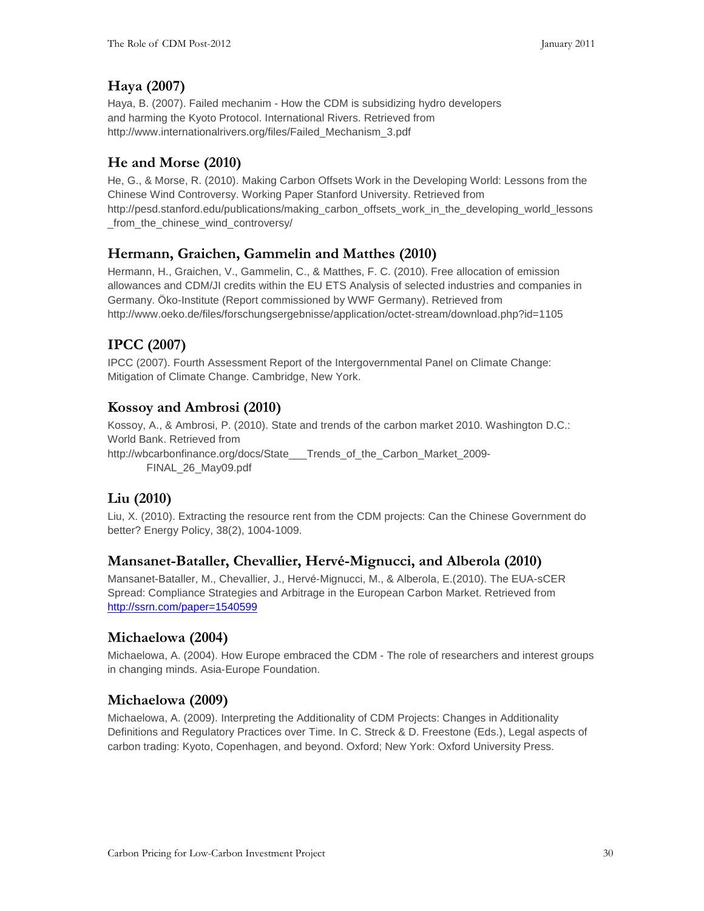## **Haya (2007)**

Haya, B. (2007). Failed mechanim - How the CDM is subsidizing hydro developers and harming the Kyoto Protocol. International Rivers. Retrieved from http://www.internationalrivers.org/files/Failed\_Mechanism\_3.pdf

## **He and Morse (2010)**

He, G., & Morse, R. (2010). Making Carbon Offsets Work in the Developing World: Lessons from the Chinese Wind Controversy. Working Paper Stanford University. Retrieved from http://pesd.stanford.edu/publications/making\_carbon\_offsets\_work\_in\_the\_developing\_world\_lessons \_from\_the\_chinese\_wind\_controversy/

## **Hermann, Graichen, Gammelin and Matthes (2010)**

Hermann, H., Graichen, V., Gammelin, C., & Matthes, F. C. (2010). Free allocation of emission allowances and CDM/JI credits within the EU ETS Analysis of selected industries and companies in Germany. Öko-Institute (Report commissioned by WWF Germany). Retrieved from http://www.oeko.de/files/forschungsergebnisse/application/octet-stream/download.php?id=1105

## **IPCC (2007)**

IPCC (2007). Fourth Assessment Report of the Intergovernmental Panel on Climate Change: Mitigation of Climate Change. Cambridge, New York.

#### **Kossoy and Ambrosi (2010)**

Kossoy, A., & Ambrosi, P. (2010). State and trends of the carbon market 2010. Washington D.C.: World Bank. Retrieved from http://wbcarbonfinance.org/docs/State\_\_\_Trends\_of\_the\_Carbon\_Market\_2009- FINAL\_26\_May09.pdf

## **Liu (2010)**

Liu, X. (2010). Extracting the resource rent from the CDM projects: Can the Chinese Government do better? Energy Policy, 38(2), 1004-1009.

#### **Mansanet-Bataller, Chevallier, Hervé-Mignucci, and Alberola (2010)**

Mansanet-Bataller, M., Chevallier, J., Hervé-Mignucci, M., & Alberola, E.(2010). The EUA-sCER Spread: Compliance Strategies and Arbitrage in the European Carbon Market. Retrieved from http://ssrn.com/paper=1540599

#### **Michaelowa (2004)**

Michaelowa, A. (2004). How Europe embraced the CDM - The role of researchers and interest groups in changing minds. Asia-Europe Foundation.

## **Michaelowa (2009)**

Michaelowa, A. (2009). Interpreting the Additionality of CDM Projects: Changes in Additionality Definitions and Regulatory Practices over Time. In C. Streck & D. Freestone (Eds.), Legal aspects of carbon trading: Kyoto, Copenhagen, and beyond. Oxford; New York: Oxford University Press.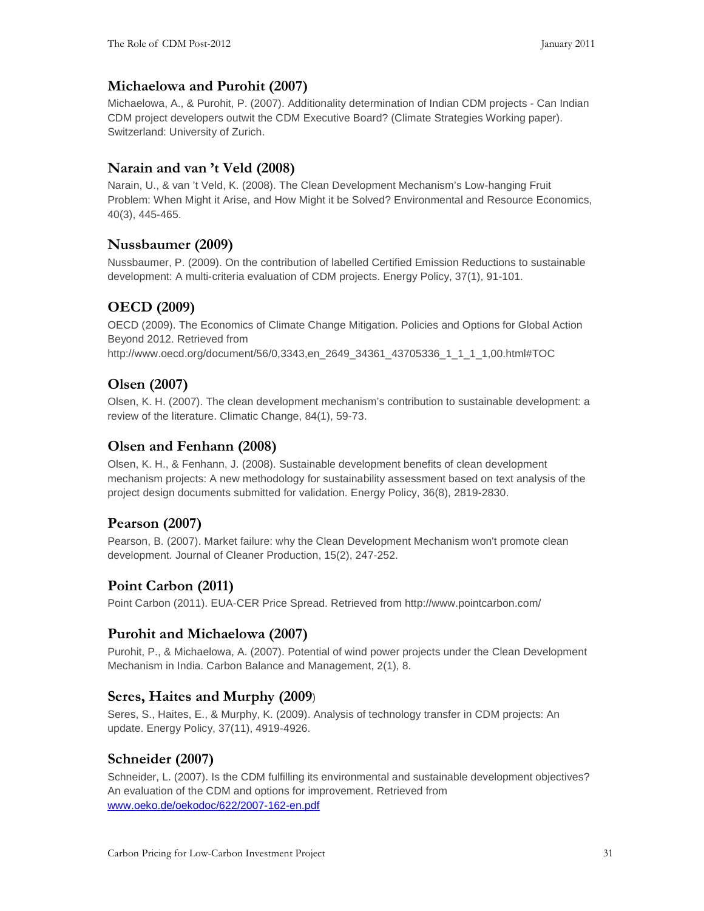#### **Michaelowa and Purohit (2007)**

Michaelowa, A., & Purohit, P. (2007). Additionality determination of Indian CDM projects - Can Indian CDM project developers outwit the CDM Executive Board? (Climate Strategies Working paper). Switzerland: University of Zurich.

#### **Narain and van 't Veld (2008)**

Narain, U., & van 't Veld, K. (2008). The Clean Development Mechanism's Low-hanging Fruit Problem: When Might it Arise, and How Might it be Solved? Environmental and Resource Economics, 40(3), 445-465.

#### **Nussbaumer (2009)**

Nussbaumer, P. (2009). On the contribution of labelled Certified Emission Reductions to sustainable development: A multi-criteria evaluation of CDM projects. Energy Policy, 37(1), 91-101.

## **OECD (2009)**

OECD (2009). The Economics of Climate Change Mitigation. Policies and Options for Global Action Beyond 2012. Retrieved from

http://www.oecd.org/document/56/0,3343,en\_2649\_34361\_43705336\_1\_1\_1\_1,00.html#TOC

#### **Olsen (2007)**

Olsen, K. H. (2007). The clean development mechanism's contribution to sustainable development: a review of the literature. Climatic Change, 84(1), 59-73.

#### **Olsen and Fenhann (2008)**

Olsen, K. H., & Fenhann, J. (2008). Sustainable development benefits of clean development mechanism projects: A new methodology for sustainability assessment based on text analysis of the project design documents submitted for validation. Energy Policy, 36(8), 2819-2830.

#### **Pearson (2007)**

Pearson, B. (2007). Market failure: why the Clean Development Mechanism won't promote clean development. Journal of Cleaner Production, 15(2), 247-252.

## **Point Carbon (2011)**

Point Carbon (2011). EUA-CER Price Spread. Retrieved from http://www.pointcarbon.com/

#### **Purohit and Michaelowa (2007)**

Purohit, P., & Michaelowa, A. (2007). Potential of wind power projects under the Clean Development Mechanism in India. Carbon Balance and Management, 2(1), 8.

#### **Seres, Haites and Murphy (2009**)

Seres, S., Haites, E., & Murphy, K. (2009). Analysis of technology transfer in CDM projects: An update. Energy Policy, 37(11), 4919-4926.

#### **Schneider (2007)**

Schneider, L. (2007). Is the CDM fulfilling its environmental and sustainable development objectives? An evaluation of the CDM and options for improvement. Retrieved from www.oeko.de/oekodoc/622/2007-162-en.pdf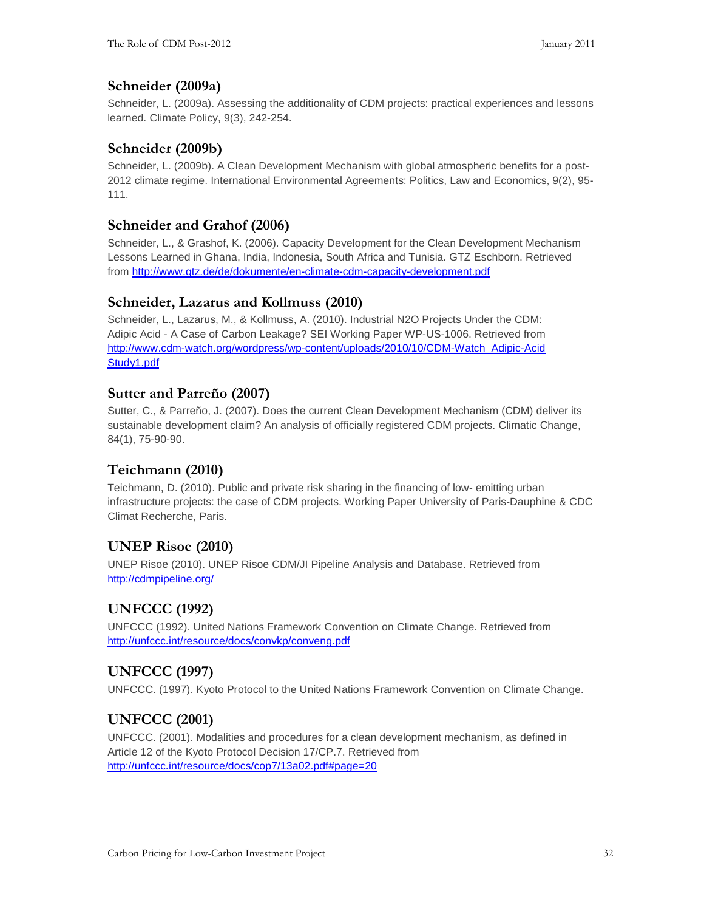#### **Schneider (2009a)**

Schneider, L. (2009a). Assessing the additionality of CDM projects: practical experiences and lessons learned. Climate Policy, 9(3), 242-254.

#### **Schneider (2009b)**

Schneider, L. (2009b). A Clean Development Mechanism with global atmospheric benefits for a post-2012 climate regime. International Environmental Agreements: Politics, Law and Economics, 9(2), 95- 111.

#### **Schneider and Grahof (2006)**

Schneider, L., & Grashof, K. (2006). Capacity Development for the Clean Development Mechanism Lessons Learned in Ghana, India, Indonesia, South Africa and Tunisia. GTZ Eschborn. Retrieved from http://www.gtz.de/de/dokumente/en-climate-cdm-capacity-development.pdf

#### **Schneider, Lazarus and Kollmuss (2010)**

Schneider, L., Lazarus, M., & Kollmuss, A. (2010). Industrial N2O Projects Under the CDM: Adipic Acid - A Case of Carbon Leakage? SEI Working Paper WP-US-1006. Retrieved from http://www.cdm-watch.org/wordpress/wp-content/uploads/2010/10/CDM-Watch\_Adipic-Acid Study1.pdf

#### **Sutter and Parreño (2007)**

Sutter, C., & Parreño, J. (2007). Does the current Clean Development Mechanism (CDM) deliver its sustainable development claim? An analysis of officially registered CDM projects. Climatic Change, 84(1), 75-90-90.

#### **Teichmann (2010)**

Teichmann, D. (2010). Public and private risk sharing in the financing of low- emitting urban infrastructure projects: the case of CDM projects. Working Paper University of Paris-Dauphine & CDC Climat Recherche, Paris.

## **UNEP Risoe (2010)**

UNEP Risoe (2010). UNEP Risoe CDM/JI Pipeline Analysis and Database. Retrieved from http://cdmpipeline.org/

## **UNFCCC (1992)**

UNFCCC (1992). United Nations Framework Convention on Climate Change. Retrieved from http://unfccc.int/resource/docs/convkp/conveng.pdf

## **UNFCCC (1997)**

UNFCCC. (1997). Kyoto Protocol to the United Nations Framework Convention on Climate Change.

## **UNFCCC (2001)**

UNFCCC. (2001). Modalities and procedures for a clean development mechanism, as defined in Article 12 of the Kyoto Protocol Decision 17/CP.7. Retrieved from http://unfccc.int/resource/docs/cop7/13a02.pdf#page=20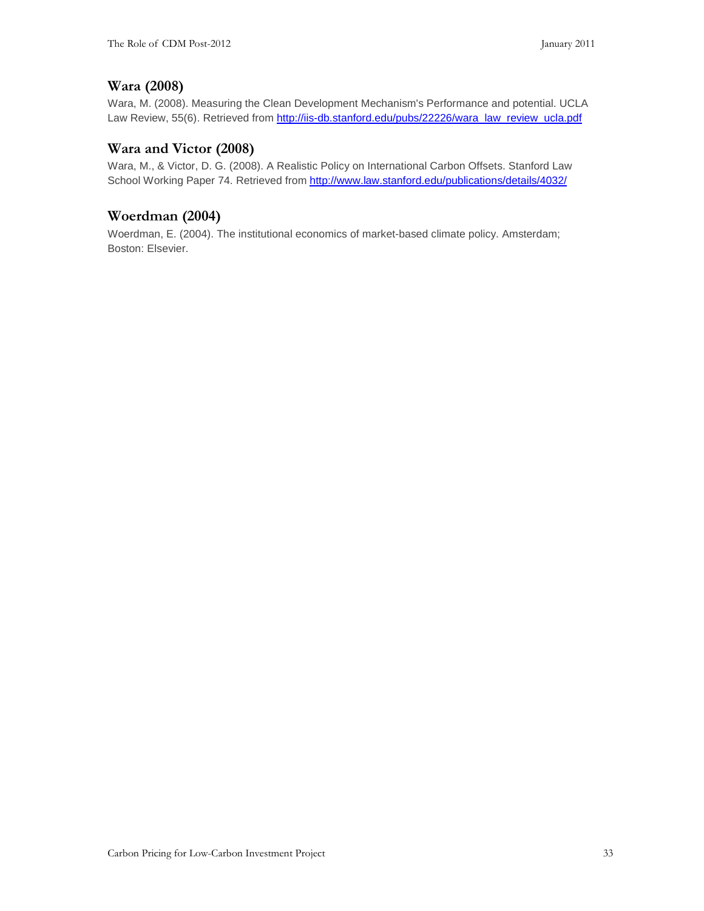#### **Wara (2008)**

Wara, M. (2008). Measuring the Clean Development Mechanism's Performance and potential. UCLA Law Review, 55(6). Retrieved from http://iis-db.stanford.edu/pubs/22226/wara\_law\_review\_ucla.pdf

#### **Wara and Victor (2008)**

Wara, M., & Victor, D. G. (2008). A Realistic Policy on International Carbon Offsets. Stanford Law School Working Paper 74. Retrieved from http://www.law.stanford.edu/publications/details/4032/

#### **Woerdman (2004)**

Woerdman, E. (2004). The institutional economics of market-based climate policy. Amsterdam; Boston: Elsevier.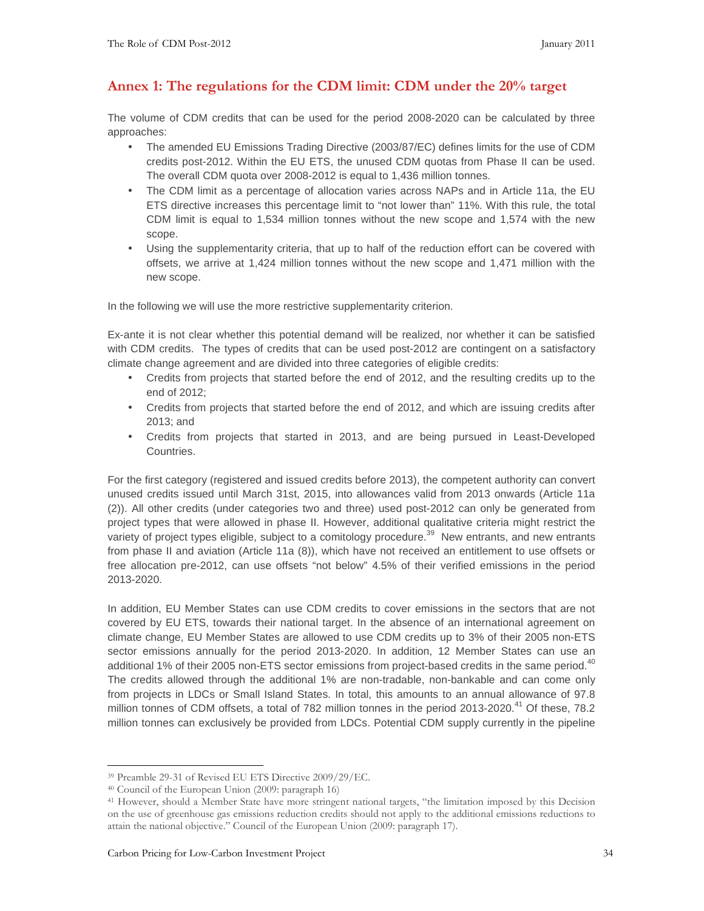#### **Annex 1: The regulations for the CDM limit: CDM under the 20% target**

The volume of CDM credits that can be used for the period 2008-2020 can be calculated by three approaches:

- The amended EU Emissions Trading Directive (2003/87/EC) defines limits for the use of CDM credits post-2012. Within the EU ETS, the unused CDM quotas from Phase II can be used. The overall CDM quota over 2008-2012 is equal to 1,436 million tonnes.
- The CDM limit as a percentage of allocation varies across NAPs and in Article 11a, the EU ETS directive increases this percentage limit to "not lower than" 11%. With this rule, the total CDM limit is equal to 1,534 million tonnes without the new scope and 1,574 with the new scope.
- Using the supplementarity criteria, that up to half of the reduction effort can be covered with offsets, we arrive at 1,424 million tonnes without the new scope and 1,471 million with the new scope.

In the following we will use the more restrictive supplementarity criterion.

Ex-ante it is not clear whether this potential demand will be realized, nor whether it can be satisfied with CDM credits. The types of credits that can be used post-2012 are contingent on a satisfactory climate change agreement and are divided into three categories of eligible credits:

- Credits from projects that started before the end of 2012, and the resulting credits up to the end of 2012;
- Credits from projects that started before the end of 2012, and which are issuing credits after 2013; and
- Credits from projects that started in 2013, and are being pursued in Least-Developed Countries.

For the first category (registered and issued credits before 2013), the competent authority can convert unused credits issued until March 31st, 2015, into allowances valid from 2013 onwards (Article 11a (2)). All other credits (under categories two and three) used post-2012 can only be generated from project types that were allowed in phase II. However, additional qualitative criteria might restrict the variety of project types eligible, subject to a comitology procedure.<sup>39</sup> New entrants, and new entrants from phase II and aviation (Article 11a (8)), which have not received an entitlement to use offsets or free allocation pre-2012, can use offsets "not below" 4.5% of their verified emissions in the period 2013-2020.

In addition, EU Member States can use CDM credits to cover emissions in the sectors that are not covered by EU ETS, towards their national target. In the absence of an international agreement on climate change, EU Member States are allowed to use CDM credits up to 3% of their 2005 non-ETS sector emissions annually for the period 2013-2020. In addition, 12 Member States can use an additional 1% of their 2005 non-ETS sector emissions from project-based credits in the same period.<sup>40</sup> The credits allowed through the additional 1% are non-tradable, non-bankable and can come only from projects in LDCs or Small Island States. In total, this amounts to an annual allowance of 97.8 million tonnes of CDM offsets, a total of 782 million tonnes in the period 2013-2020.<sup>41</sup> Of these, 78.2 million tonnes can exclusively be provided from LDCs. Potential CDM supply currently in the pipeline

<sup>-</sup><sup>39</sup> Preamble 29-31 of Revised EU ETS Directive 2009/29/EC.

<sup>40</sup> Council of the European Union (2009: paragraph 16)

<sup>41</sup> However, should a Member State have more stringent national targets, "the limitation imposed by this Decision on the use of greenhouse gas emissions reduction credits should not apply to the additional emissions reductions to attain the national objective." Council of the European Union (2009: paragraph 17).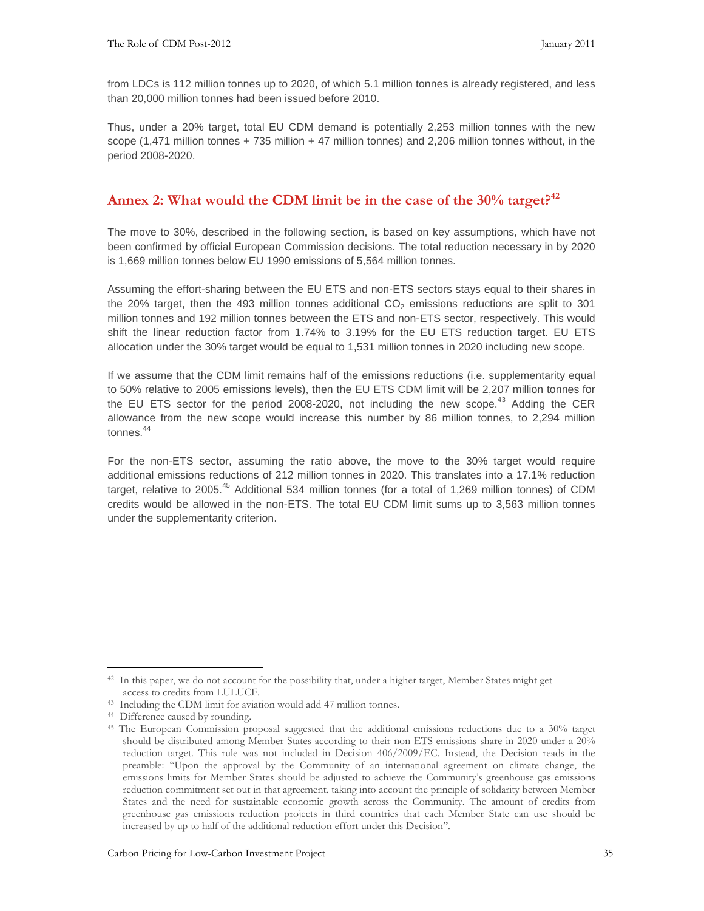from LDCs is 112 million tonnes up to 2020, of which 5.1 million tonnes is already registered, and less than 20,000 million tonnes had been issued before 2010.

Thus, under a 20% target, total EU CDM demand is potentially 2,253 million tonnes with the new scope (1,471 million tonnes + 735 million + 47 million tonnes) and 2,206 million tonnes without, in the period 2008-2020.

#### **Annex 2: What would the CDM limit be in the case of the 30% target?<sup>42</sup>**

The move to 30%, described in the following section, is based on key assumptions, which have not been confirmed by official European Commission decisions. The total reduction necessary in by 2020 is 1,669 million tonnes below EU 1990 emissions of 5,564 million tonnes.

Assuming the effort-sharing between the EU ETS and non-ETS sectors stays equal to their shares in the 20% target, then the 493 million tonnes additional  $CO<sub>2</sub>$  emissions reductions are split to 301 million tonnes and 192 million tonnes between the ETS and non-ETS sector, respectively. This would shift the linear reduction factor from 1.74% to 3.19% for the EU ETS reduction target. EU ETS allocation under the 30% target would be equal to 1,531 million tonnes in 2020 including new scope.

If we assume that the CDM limit remains half of the emissions reductions (i.e. supplementarity equal to 50% relative to 2005 emissions levels), then the EU ETS CDM limit will be 2,207 million tonnes for the EU ETS sector for the period 2008-2020, not including the new scope.<sup>43</sup> Adding the CER allowance from the new scope would increase this number by 86 million tonnes, to 2,294 million tonnes.<sup>44</sup>

For the non-ETS sector, assuming the ratio above, the move to the 30% target would require additional emissions reductions of 212 million tonnes in 2020. This translates into a 17.1% reduction target, relative to 2005.<sup>45</sup> Additional 534 million tonnes (for a total of 1,269 million tonnes) of CDM credits would be allowed in the non-ETS. The total EU CDM limit sums up to 3,563 million tonnes under the supplementarity criterion.

<sup>-</sup><sup>42</sup> In this paper, we do not account for the possibility that, under a higher target, Member States might get access to credits from LULUCF.

<sup>43</sup> Including the CDM limit for aviation would add 47 million tonnes.

<sup>44</sup> Difference caused by rounding.

<sup>45</sup> The European Commission proposal suggested that the additional emissions reductions due to a 30% target should be distributed among Member States according to their non-ETS emissions share in 2020 under a 20% reduction target. This rule was not included in Decision 406/2009/EC. Instead, the Decision reads in the preamble: "Upon the approval by the Community of an international agreement on climate change, the emissions limits for Member States should be adjusted to achieve the Community's greenhouse gas emissions reduction commitment set out in that agreement, taking into account the principle of solidarity between Member States and the need for sustainable economic growth across the Community. The amount of credits from greenhouse gas emissions reduction projects in third countries that each Member State can use should be increased by up to half of the additional reduction effort under this Decision".